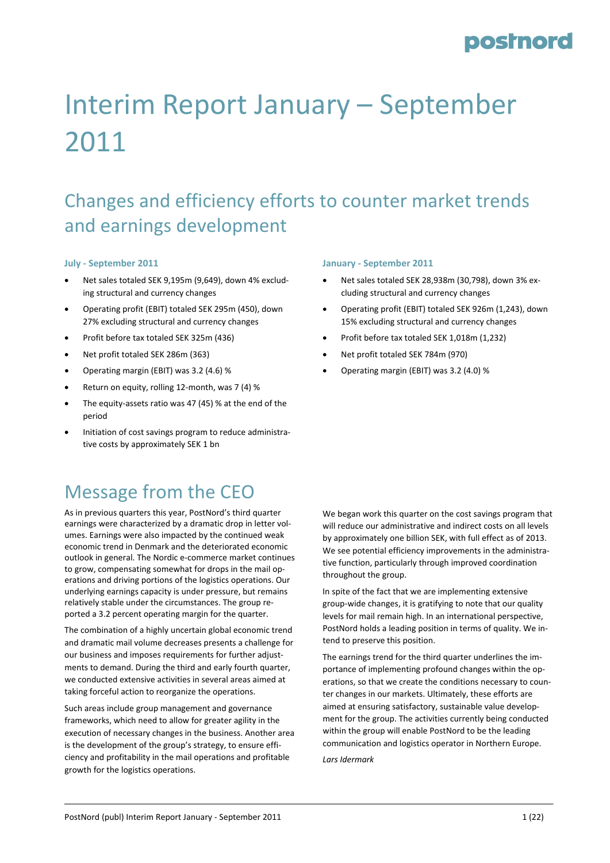# Interim Report January – September 2011

### Changes and efficiency efforts to counter market trends and earnings development

#### **July ‐ September 2011**

- Net sales totaled SEK 9,195m (9,649), down 4% exclud‐ ing structural and currency changes
- Operating profit (EBIT) totaled SEK 295m (450), down 27% excluding structural and currency changes
- Profit before tax totaled SEK 325m (436)
- Net profit totaled SEK 286m (363)
- Operating margin (EBIT) was 3.2 (4.6) %
- Return on equity, rolling 12‐month, was 7 (4) %
- The equity-assets ratio was 47 (45) % at the end of the period
- Initiation of cost savings program to reduce administrative costs by approximately SEK 1 bn

#### **January ‐ September 2011**

- Net sales totaled SEK 28,938m (30,798), down 3% ex‐ cluding structural and currency changes
- Operating profit (EBIT) totaled SEK 926m (1,243), down 15% excluding structural and currency changes
- Profit before tax totaled SEK 1,018m (1,232)
- Net profit totaled SEK 784m (970)
- Operating margin (EBIT) was 3.2 (4.0) %

### Message from the CEO

As in previous quarters this year, PostNord's third quarter earnings were characterized by a dramatic drop in letter vol‐ umes. Earnings were also impacted by the continued weak economic trend in Denmark and the deteriorated economic outlook in general. The Nordic e‐commerce market continues to grow, compensating somewhat for drops in the mail op‐ erations and driving portions of the logistics operations. Our underlying earnings capacity is under pressure, but remains relatively stable under the circumstances. The group re‐ ported a 3.2 percent operating margin for the quarter.

The combination of a highly uncertain global economic trend and dramatic mail volume decreases presents a challenge for our business and imposes requirements for further adjustments to demand. During the third and early fourth quarter, we conducted extensive activities in several areas aimed at taking forceful action to reorganize the operations.

Such areas include group management and governance frameworks, which need to allow for greater agility in the execution of necessary changes in the business. Another area is the development of the group's strategy, to ensure efficiency and profitability in the mail operations and profitable growth for the logistics operations.

We began work this quarter on the cost savings program that will reduce our administrative and indirect costs on all levels by approximately one billion SEK, with full effect as of 2013. We see potential efficiency improvements in the administrative function, particularly through improved coordination throughout the group.

In spite of the fact that we are implementing extensive group‐wide changes, it is gratifying to note that our quality levels for mail remain high. In an international perspective, PostNord holds a leading position in terms of quality. We in‐ tend to preserve this position.

The earnings trend for the third quarter underlines the im‐ portance of implementing profound changes within the operations, so that we create the conditions necessary to coun‐ ter changes in our markets. Ultimately, these efforts are aimed at ensuring satisfactory, sustainable value develop‐ ment for the group. The activities currently being conducted within the group will enable PostNord to be the leading communication and logistics operator in Northern Europe.

*Lars Idermark*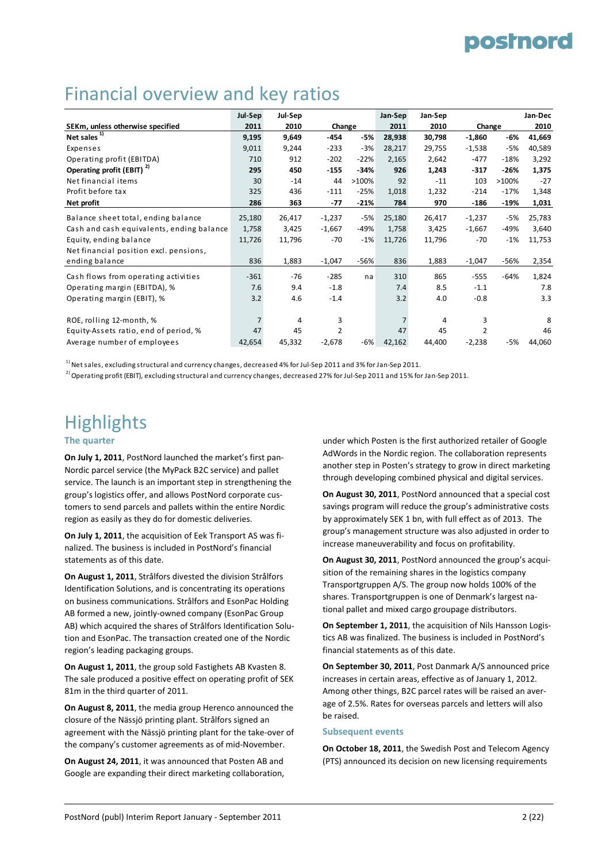### Financial overview and key ratios

|                                           | Jul-Sep        | Jul-Sep |          |        |        | Jan-Sep |          | Jan-Dec |        |
|-------------------------------------------|----------------|---------|----------|--------|--------|---------|----------|---------|--------|
| SEKm, unless otherwise specified          | 2011           | 2010    | Change   |        | 2011   | 2010    | Change   |         | 2010   |
| Net sales                                 | 9,195          | 9,649   | $-454$   | $-5%$  | 28,938 | 30,798  | $-1,860$ | -6%     | 41,669 |
| Expenses                                  | 9,011          | 9,244   | $-233$   | $-3%$  | 28,217 | 29,755  | $-1,538$ | $-5%$   | 40,589 |
| Operating profit (EBITDA)                 | 710            | 912     | $-202$   | $-22%$ | 2,165  | 2,642   | $-477$   | $-18%$  | 3,292  |
| Operating profit (EBIT) <sup>2)</sup>     | 295            | 450     | $-155$   | $-34%$ | 926    | 1,243   | $-317$   | $-26%$  | 1,375  |
| Net financial items                       | 30             | $-14$   | 44       | >100%  | 92     | $-11$   | 103      | >100%   | $-27$  |
| Profit before tax                         | 325            | 436     | $-111$   | $-25%$ | 1,018  | 1,232   | $-214$   | $-17%$  | 1,348  |
| Net profit                                | 286            | 363     | $-77$    | $-21%$ | 784    | 970     | $-186$   | $-19%$  | 1,031  |
| Balance sheet total, ending balance       | 25,180         | 26,417  | $-1,237$ | -5%    | 25,180 | 26,417  | $-1,237$ | $-5%$   | 25,783 |
| Cash and cash equivalents, ending balance | 1,758          | 3,425   | $-1,667$ | -49%   | 1,758  | 3,425   | $-1,667$ | $-49%$  | 3,640  |
| Equity, ending balance                    | 11,726         | 11,796  | $-70$    | $-1%$  | 11,726 | 11,796  | $-70$    | $-1%$   | 11,753 |
| Net financial position excl. pensions,    |                |         |          |        |        |         |          |         |        |
| ending balance                            | 836            | 1,883   | $-1,047$ | $-56%$ | 836    | 1,883   | $-1,047$ | $-56%$  | 2,354  |
| Cash flows from operating activities      | $-361$         | $-76$   | $-285$   | na     | 310    | 865     | $-555$   | $-64%$  | 1,824  |
| Operating margin (EBITDA), %              | 7.6            | 9.4     | $-1.8$   |        | 7.4    | 8.5     | $-1.1$   |         | 7.8    |
| Operating margin (EBIT), %                | 3.2            | 4.6     | $-1.4$   |        | 3.2    | 4.0     | $-0.8$   |         | 3.3    |
|                                           |                |         |          |        |        |         |          |         |        |
| ROE, rolling 12-month, %                  | $\overline{7}$ | 4       | 3        |        |        | 4       | 3        |         | 8      |
| Equity-Assets ratio, end of period, %     | 47             | 45      | 2        |        | 47     | 45      | 2        |         | 46     |
| Average number of employees               | 42,654         | 45,332  | $-2,678$ | -6%    | 42,162 | 44,400  | $-2,238$ | $-5%$   | 44,060 |

 $^{1)}$  Net sales, excluding structural and currency changes, decreased 4% for Jul-Sep 2011 and 3% for Jan-Sep 2011.

<sup>2)</sup> Operating profit (EBIT), excluding structural and currency changes, decreased 27% for Jul-Sep 2011 and 15% for Jan-Sep 2011.

### **Highlights**

#### **The quarter**

**On July 1, 2011**, PostNord launched the market's first pan‐ Nordic parcel service (the MyPack B2C service) and pallet service. The launch is an important step in strengthening the group's logistics offer, and allows PostNord corporate cus‐ tomers to send parcels and pallets within the entire Nordic region as easily as they do for domestic deliveries.

**On July 1, 2011**, the acquisition of Eek Transport AS was fi‐ nalized. The business is included in PostNord's financial statements as of this date.

**On August 1, 2011**, Strålfors divested the division Strålfors Identification Solutions, and is concentrating its operations on business communications. Strålfors and EsonPac Holding AB formed a new, jointly‐owned company (EsonPac Group AB) which acquired the shares of Strålfors Identification Solu‐ tion and EsonPac. The transaction created one of the Nordic region's leading packaging groups.

**On August 1, 2011**, the group sold Fastighets AB Kvasten 8. The sale produced a positive effect on operating profit of SEK 81m in the third quarter of 2011.

**On August 8, 2011**, the media group Herenco announced the closure of the Nässjö printing plant. Strålfors signed an agreement with the Nässjö printing plant for the take‐over of the company's customer agreements as of mid‐November.

**On August 24, 2011**, it was announced that Posten AB and Google are expanding their direct marketing collaboration, under which Posten is the first authorized retailer of Google AdWords in the Nordic region. The collaboration represents another step in Posten's strategy to grow in direct marketing through developing combined physical and digital services.

**On August 30, 2011**, PostNord announced that a special cost savings program will reduce the group's administrative costs by approximately SEK 1 bn, with full effect as of 2013. The group's management structure was also adjusted in order to increase maneuverability and focus on profitability.

**On August 30, 2011**, PostNord announced the group's acqui‐ sition of the remaining shares in the logistics company Transportgruppen A/S. The group now holds 100% of the shares. Transportgruppen is one of Denmark's largest na‐ tional pallet and mixed cargo groupage distributors.

**On September 1, 2011**, the acquisition of Nils Hansson Logis‐ tics AB was finalized. The business is included in PostNord's financial statements as of this date.

**On September 30, 2011**, Post Danmark A/S announced price increases in certain areas, effective as of January 1, 2012. Among other things, B2C parcel rates will be raised an aver‐ age of 2.5%. Rates for overseas parcels and letters will also be raised.

#### **Subsequent events**

**On October 18, 2011**, the Swedish Post and Telecom Agency (PTS) announced its decision on new licensing requirements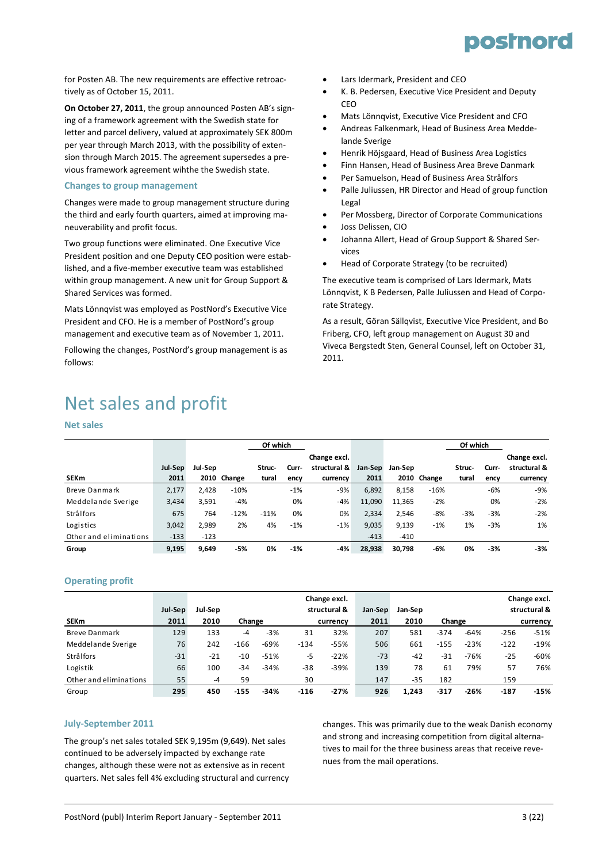

for Posten AB. The new requirements are effective retroac‐ tively as of October 15, 2011.

**On October 27, 2011**, the group announced Posten AB's sign‐ ing of a framework agreement with the Swedish state for letter and parcel delivery, valued at approximately SEK 800m per year through March 2013, with the possibility of exten‐ sion through March 2015. The agreement supersedes a pre‐ vious framework agreement wihthe the Swedish state.

#### **Changes to group management**

Changes were made to group management structure during the third and early fourth quarters, aimed at improving ma‐ neuverability and profit focus.

Two group functions were eliminated. One Executive Vice President position and one Deputy CEO position were estab‐ lished, and a five‐member executive team was established within group management. A new unit for Group Support & Shared Services was formed.

Mats Lönnqvist was employed as PostNord's Executive Vice President and CFO. He is a member of PostNord's group management and executive team as of November 1, 2011.

Following the changes, PostNord's group management is as follows:

- Lars Idermark, President and CEO
- K. B. Pedersen, Executive Vice President and Deputy **CEO**
- Mats Lönnqvist, Executive Vice President and CFO
- Andreas Falkenmark, Head of Business Area Medde‐ lande Sverige
- Henrik Höjsgaard, Head of Business Area Logistics
- Finn Hansen, Head of Business Area Breve Danmark
- Per Samuelson, Head of Business Area Strålfors
- Palle Juliussen, HR Director and Head of group function Legal
- Per Mossberg, Director of Corporate Communications
- Joss Delissen, CIO
- Johanna Allert, Head of Group Support & Shared Ser‐ vices
- Head of Corporate Strategy (to be recruited)

The executive team is comprised of Lars Idermark, Mats Lönnqvist, K B Pedersen, Palle Juliussen and Head of Corpo‐ rate Strategy.

As a result, Göran Sällqvist, Executive Vice President, and Bo Friberg, CFO, left group management on August 30 and Viveca Bergstedt Sten, General Counsel, left on October 31, 2011.

### Net sales and profit

#### **Net sales**

|                        |         |         |             | Of which |       |              |         |         | Of which    |        |       |              |
|------------------------|---------|---------|-------------|----------|-------|--------------|---------|---------|-------------|--------|-------|--------------|
|                        |         |         |             |          |       | Change excl. |         |         |             |        |       | Change excl. |
|                        | Jul-Sep | Jul-Sep |             | Struc-   | Curr- | structural & | Jan-Sep | Jan-Sep |             | Struc- | Curr- | structural & |
| <b>SEKm</b>            | 2011    |         | 2010 Change | tural    | ency  | currency     | 2011    |         | 2010 Change | tural  | ency  | currency     |
| Breve Danmark          | 2,177   | 2.428   | $-10%$      |          | $-1%$ | -9%          | 6,892   | 8,158   | $-16%$      |        | $-6%$ | -9%          |
| Meddelande Sverige     | 3,434   | 3.591   | $-4%$       |          | 0%    | $-4%$        | 11,090  | 11,365  | $-2%$       |        | 0%    | $-2%$        |
| Strålfors              | 675     | 764     | $-12%$      | $-11%$   | 0%    | 0%           | 2,334   | 2,546   | -8%         | $-3%$  | $-3%$ | $-2%$        |
| Logistics              | 3,042   | 2.989   | 2%          | 4%       | $-1%$ | $-1%$        | 9,035   | 9,139   | $-1%$       | 1%     | $-3%$ | 1%           |
| Other and eliminations | $-133$  | $-123$  |             |          |       |              | $-413$  | $-410$  |             |        |       |              |
| Group                  | 9.195   | 9.649   | -5%         | 0%       | $-1%$ | -4%          | 28.938  | 30.798  | -6%         | 0%     | $-3%$ | -3%          |

#### **Operating profit**

|                        |         |         |        |        |          | Change excl. |         |         |        |        |        | Change excl. |
|------------------------|---------|---------|--------|--------|----------|--------------|---------|---------|--------|--------|--------|--------------|
|                        | Jul-Sep | Jul-Sep |        |        |          | structural & | Jan-Sep | Jan-Sep |        |        |        | structural & |
| <b>SEKm</b>            | 2011    | 2010    | Change |        | currency |              | 2011    |         | Change |        |        | currency     |
| <b>Breve Danmark</b>   | 129     | 133     | -4     | $-3%$  | 31       | 32%          | 207     | 581     | $-374$ | $-64%$ | $-256$ | $-51%$       |
| Meddelande Sverige     | 76      | 242     | $-166$ | $-69%$ | $-134$   | $-55%$       | 506     | 661     | $-155$ | $-23%$ | $-122$ | $-19%$       |
| Strålfors              | $-31$   | $-21$   | $-10$  | $-51%$ | -5       | $-22%$       | $-73$   | $-42$   | $-31$  | $-76%$ | $-25$  | $-60%$       |
| Logistik               | 66      | 100     | $-34$  | $-34%$ | $-38$    | $-39%$       | 139     | 78      | 61     | 79%    | 57     | 76%          |
| Other and eliminations | 55      | $-4$    | 59     |        | 30       |              | 147     | $-35$   | 182    |        | 159    |              |
| Group                  | 295     | 450     | $-155$ | $-34%$ | $-116$   | $-27%$       | 926     | 1.243   | $-317$ | $-26%$ | $-187$ | $-15%$       |

#### **July‐September 2011**

The group's net sales totaled SEK 9,195m (9,649). Net sales continued to be adversely impacted by exchange rate changes, although these were not as extensive as in recent quarters. Net sales fell 4% excluding structural and currency changes. This was primarily due to the weak Danish economy and strong and increasing competition from digital alterna‐ tives to mail for the three business areas that receive reve‐ nues from the mail operations.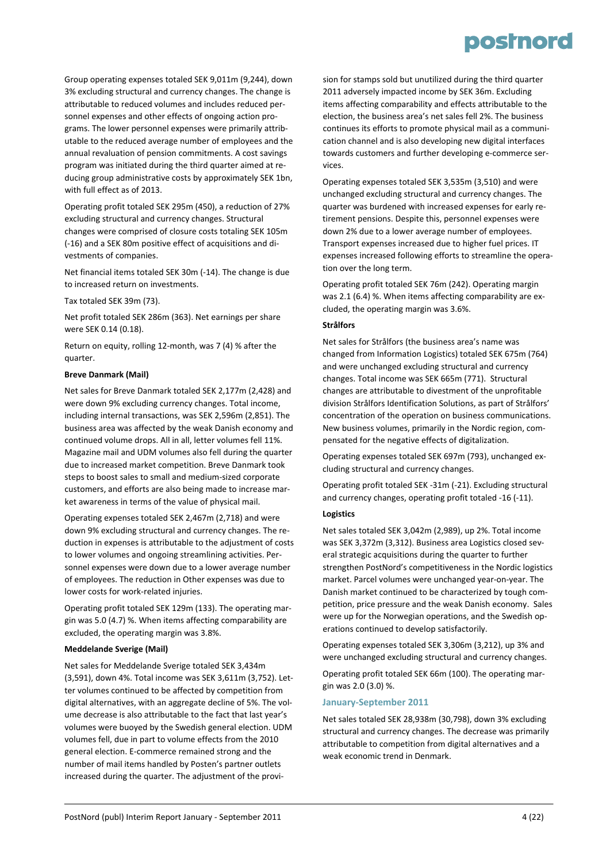### posinord

Group operating expenses totaled SEK 9,011m (9,244), down 3% excluding structural and currency changes. The change is attributable to reduced volumes and includes reduced per‐ sonnel expenses and other effects of ongoing action pro‐ grams. The lower personnel expenses were primarily attrib‐ utable to the reduced average number of employees and the annual revaluation of pension commitments. A cost savings program was initiated during the third quarter aimed at re‐ ducing group administrative costs by approximately SEK 1bn, with full effect as of 2013.

Operating profit totaled SEK 295m (450), a reduction of 27% excluding structural and currency changes. Structural changes were comprised of closure costs totaling SEK 105m (‐16) and a SEK 80m positive effect of acquisitions and di‐ vestments of companies.

Net financial items totaled SEK 30m (‐14). The change is due to increased return on investments.

Tax totaled SEK 39m (73).

Net profit totaled SEK 286m (363). Net earnings per share were SEK 0.14 (0.18).

Return on equity, rolling 12‐month, was 7 (4) % after the quarter.

#### **Breve Danmark (Mail)**

Net sales for Breve Danmark totaled SEK 2,177m (2,428) and were down 9% excluding currency changes. Total income, including internal transactions, was SEK 2,596m (2,851). The business area was affected by the weak Danish economy and continued volume drops. All in all, letter volumes fell 11%. Magazine mail and UDM volumes also fell during the quarter due to increased market competition. Breve Danmark took steps to boost sales to small and medium‐sized corporate customers, and efforts are also being made to increase mar‐ ket awareness in terms of the value of physical mail.

Operating expenses totaled SEK 2,467m (2,718) and were down 9% excluding structural and currency changes. The re‐ duction in expenses is attributable to the adjustment of costs to lower volumes and ongoing streamlining activities. Per‐ sonnel expenses were down due to a lower average number of employees. The reduction in Other expenses was due to lower costs for work‐related injuries.

Operating profit totaled SEK 129m (133). The operating mar‐ gin was 5.0 (4.7) %. When items affecting comparability are excluded, the operating margin was 3.8%.

#### **Meddelande Sverige (Mail)**

Net sales for Meddelande Sverige totaled SEK 3,434m (3,591), down 4%. Total income was SEK 3,611m (3,752). Let‐ ter volumes continued to be affected by competition from digital alternatives, with an aggregate decline of 5%. The vol‐ ume decrease is also attributable to the fact that last year's volumes were buoyed by the Swedish general election. UDM volumes fell, due in part to volume effects from the 2010 general election. E‐commerce remained strong and the number of mail items handled by Posten's partner outlets increased during the quarter. The adjustment of the provi‐

sion for stamps sold but unutilized during the third quarter 2011 adversely impacted income by SEK 36m. Excluding items affecting comparability and effects attributable to the election, the business area's net sales fell 2%. The business continues its efforts to promote physical mail as a communi‐ cation channel and is also developing new digital interfaces towards customers and further developing e‐commerce ser‐ vices.

Operating expenses totaled SEK 3,535m (3,510) and were unchanged excluding structural and currency changes. The quarter was burdened with increased expenses for early re‐ tirement pensions. Despite this, personnel expenses were down 2% due to a lower average number of employees. Transport expenses increased due to higher fuel prices. IT expenses increased following efforts to streamline the opera‐ tion over the long term.

Operating profit totaled SEK 76m (242). Operating margin was 2.1 (6.4) %. When items affecting comparability are excluded, the operating margin was 3.6%.

#### **Strålfors**

Net sales for Strålfors (the business area's name was changed from Information Logistics) totaled SEK 675m (764) and were unchanged excluding structural and currency changes. Total income was SEK 665m (771). Structural changes are attributable to divestment of the unprofitable division Strålfors Identification Solutions, as part of Strålfors' concentration of the operation on business communications. New business volumes, primarily in the Nordic region, com‐ pensated for the negative effects of digitalization.

Operating expenses totaled SEK 697m (793), unchanged ex‐ cluding structural and currency changes.

Operating profit totaled SEK ‐31m (‐21). Excluding structural and currency changes, operating profit totaled ‐16 (‐11).

#### **Logistics**

Net sales totaled SEK 3,042m (2,989), up 2%. Total income was SEK 3,372m (3,312). Business area Logistics closed several strategic acquisitions during the quarter to further strengthen PostNord's competitiveness in the Nordic logistics market. Parcel volumes were unchanged year‐on‐year. The Danish market continued to be characterized by tough com‐ petition, price pressure and the weak Danish economy. Sales were up for the Norwegian operations, and the Swedish operations continued to develop satisfactorily.

Operating expenses totaled SEK 3,306m (3,212), up 3% and were unchanged excluding structural and currency changes.

Operating profit totaled SEK 66m (100). The operating mar‐ gin was 2.0 (3.0) %.

#### **January‐September 2011**

Net sales totaled SEK 28,938m (30,798), down 3% excluding structural and currency changes. The decrease was primarily attributable to competition from digital alternatives and a weak economic trend in Denmark.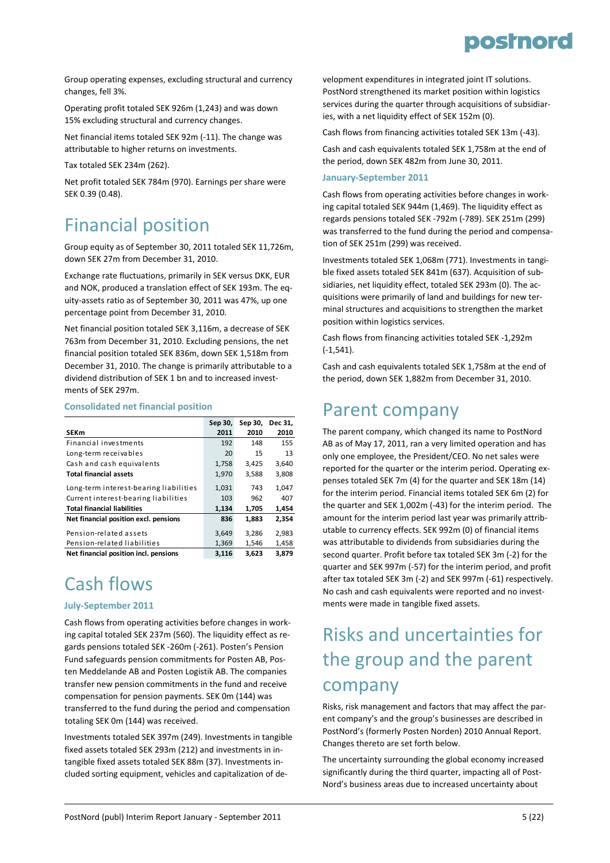

Group operating expenses, excluding structural and currency changes, fell 3%.

Operating profit totaled SEK 926m (1,243) and was down 15% excluding structural and currency changes.

Net financial items totaled SEK 92m (‐11). The change was attributable to higher returns on investments.

Tax totaled SEK 234m (262).

Net profit totaled SEK 784m (970). Earnings per share were SEK 0.39 (0.48).

### Financial position

Group equity as of September 30, 2011 totaled SEK 11,726m, down SEK 27m from December 31, 2010.

Exchange rate fluctuations, primarily in SEK versus DKK, EUR and NOK, produced a translation effect of SEK 193m. The eq‐ uity‐assets ratio as of September 30, 2011 was 47%, up one percentage point from December 31, 2010.

Net financial position totaled SEK 3,116m, a decrease of SEK 763m from December 31, 2010. Excluding pensions, the net financial position totaled SEK 836m, down SEK 1,518m from December 31, 2010. The change is primarily attributable to a dividend distribution of SEK 1 bn and to increased invest‐ ments of SEK 297m.

#### **Consolidated net financial position**

|                                        | Sep 30, | Sep 30, | Dec 31, |
|----------------------------------------|---------|---------|---------|
| <b>SEKm</b>                            | 2011    | 2010    | 2010    |
| Financial investments                  | 192     | 148     | 155     |
| Long-term receivables                  | 20      | 15      | 13      |
| Cash and cash equivalents              | 1,758   | 3,425   | 3,640   |
| <b>Total financial assets</b>          | 1,970   | 3,588   | 3,808   |
| Long-term interest-bearing liabilities | 1,031   | 743     | 1,047   |
| Current interest-bearing liabilities   | 103     | 962     | 407     |
| <b>Total financial liabilities</b>     | 1,134   | 1,705   | 1,454   |
| Net financial position excl. pensions  | 836     | 1,883   | 2,354   |
| Pension-related assets                 | 3,649   | 3,286   | 2,983   |
| Pension-related liabilities            | 1,369   | 1,546   | 1,458   |
| Net financial position incl. pensions  | 3,116   | 3,623   | 3.879   |

### Cash flows

#### **July‐September 2011**

Cash flows from operating activities before changes in work‐ ing capital totaled SEK 237m (560). The liquidity effect as re‐ gards pensions totaled SEK ‐260m (‐261). Posten's Pension Fund safeguards pension commitments for Posten AB, Pos‐ ten Meddelande AB and Posten Logistik AB. The companies transfer new pension commitments in the fund and receive compensation for pension payments. SEK 0m (144) was transferred to the fund during the period and compensation totaling SEK 0m (144) was received.

Investments totaled SEK 397m (249). Investments in tangible fixed assets totaled SEK 293m (212) and investments in in‐ tangible fixed assets totaled SEK 88m (37). Investments in‐ cluded sorting equipment, vehicles and capitalization of de‐

velopment expenditures in integrated joint IT solutions. PostNord strengthened its market position within logistics services during the quarter through acquisitions of subsidiaries, with a net liquidity effect of SEK 152m (0).

Cash flows from financing activities totaled SEK 13m (‐43).

Cash and cash equivalents totaled SEK 1,758m at the end of the period, down SEK 482m from June 30, 2011.

#### **January‐September 2011**

Cash flows from operating activities before changes in work‐ ing capital totaled SEK 944m (1,469). The liquidity effect as regards pensions totaled SEK ‐792m (‐789). SEK 251m (299) was transferred to the fund during the period and compensation of SEK 251m (299) was received.

Investments totaled SEK 1,068m (771). Investments in tangi‐ ble fixed assets totaled SEK 841m (637). Acquisition of subsidiaries, net liquidity effect, totaled SEK 293m (0). The ac‐ quisitions were primarily of land and buildings for new ter‐ minal structures and acquisitions to strengthen the market position within logistics services.

Cash flows from financing activities totaled SEK ‐1,292m (‐1,541).

Cash and cash equivalents totaled SEK 1,758m at the end of the period, down SEK 1,882m from December 31, 2010.

### Parent company

The parent company, which changed its name to PostNord AB as of May 17, 2011, ran a very limited operation and has only one employee, the President/CEO. No net sales were reported for the quarter or the interim period. Operating ex‐ penses totaled SEK 7m (4) for the quarter and SEK 18m (14) for the interim period. Financial items totaled SEK 6m (2) for the quarter and SEK 1,002m (‐43) for the interim period. The amount for the interim period last year was primarily attrib‐ utable to currency effects. SEK 992m (0) of financial items was attributable to dividends from subsidiaries during the second quarter. Profit before tax totaled SEK 3m (‐2) for the quarter and SEK 997m (‐57) for the interim period, and profit after tax totaled SEK 3m (‐2) and SEK 997m (‐61) respectively. No cash and cash equivalents were reported and no invest‐ ments were made in tangible fixed assets.

### Risks and uncertainties for the group and the parent company

Risks, risk management and factors that may affect the par‐ ent company's and the group's businesses are described in PostNord's (formerly Posten Norden) 2010 Annual Report. Changes thereto are set forth below.

The uncertainty surrounding the global economy increased significantly during the third quarter, impacting all of Post-Nord's business areas due to increased uncertainty about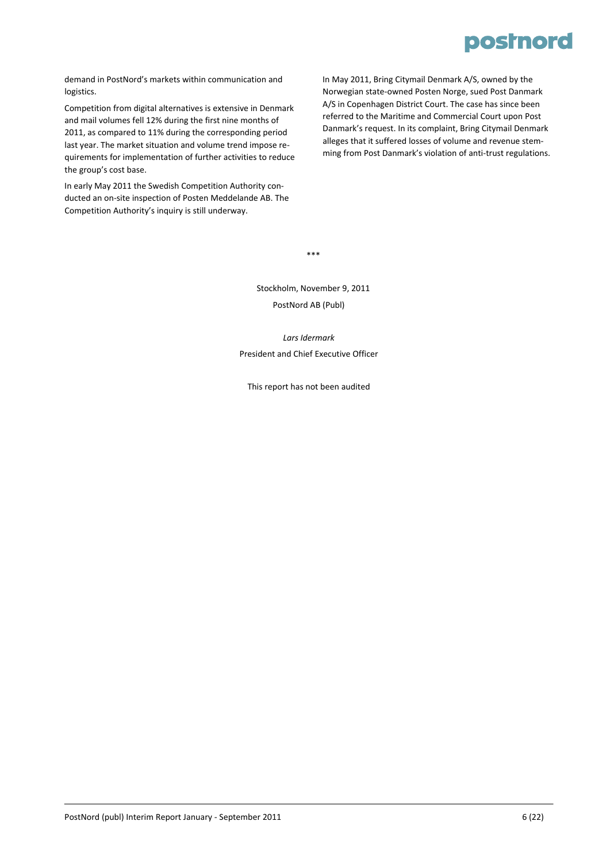

demand in PostNord's markets within communication and logistics.

Competition from digital alternatives is extensive in Denmark and mail volumes fell 12% during the first nine months of 2011, as compared to 11% during the corresponding period last year. The market situation and volume trend impose re‐ quirements for implementation of further activities to reduce the group's cost base.

In early May 2011 the Swedish Competition Authority con‐ ducted an on‐site inspection of Posten Meddelande AB. The Competition Authority's inquiry is still underway.

In May 2011, Bring Citymail Denmark A/S, owned by the Norwegian state‐owned Posten Norge, sued Post Danmark A/S in Copenhagen District Court. The case has since been referred to the Maritime and Commercial Court upon Post Danmark's request. In its complaint, Bring Citymail Denmark alleges that it suffered losses of volume and revenue stem‐ ming from Post Danmark's violation of anti‐trust regulations.

\*\*\*

Stockholm, November 9, 2011 PostNord AB (Publ)

*Lars Idermark* President and Chief Executive Officer

This report has not been audited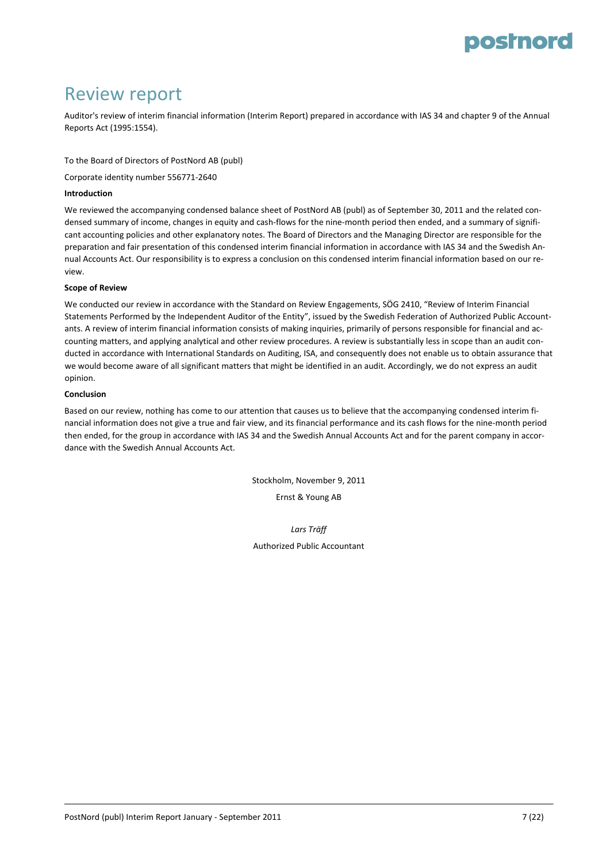### Review report

Auditor's review of interim financial information (Interim Report) prepared in accordance with IAS 34 and chapter 9 of the Annual Reports Act (1995:1554).

To the Board of Directors of PostNord AB (publ)

Corporate identity number 556771‐2640

#### **Introduction**

We reviewed the accompanying condensed balance sheet of PostNord AB (publ) as of September 30, 2011 and the related condensed summary of income, changes in equity and cash-flows for the nine-month period then ended, and a summary of significant accounting policies and other explanatory notes. The Board of Directors and the Managing Director are responsible for the preparation and fair presentation of this condensed interim financial information in accordance with IAS 34 and the Swedish An‐ nual Accounts Act. Our responsibility is to express a conclusion on this condensed interim financial information based on our re‐ view.

#### **Scope of Review**

We conducted our review in accordance with the Standard on Review Engagements, SÖG 2410, "Review of Interim Financial Statements Performed by the Independent Auditor of the Entity", issued by the Swedish Federation of Authorized Public Account‐ ants. A review of interim financial information consists of making inquiries, primarily of persons responsible for financial and ac‐ counting matters, and applying analytical and other review procedures. A review is substantially less in scope than an audit conducted in accordance with International Standards on Auditing, ISA, and consequently does not enable us to obtain assurance that we would become aware of all significant matters that might be identified in an audit. Accordingly, we do not express an audit opinion.

#### **Conclusion**

Based on our review, nothing has come to our attention that causes us to believe that the accompanying condensed interim financial information does not give a true and fair view, and its financial performance and its cash flows for the nine‐month period then ended, for the group in accordance with IAS 34 and the Swedish Annual Accounts Act and for the parent company in accordance with the Swedish Annual Accounts Act.

> Stockholm, November 9, 2011 Ernst & Young AB

> > *Lars Träff*

Authorized Public Accountant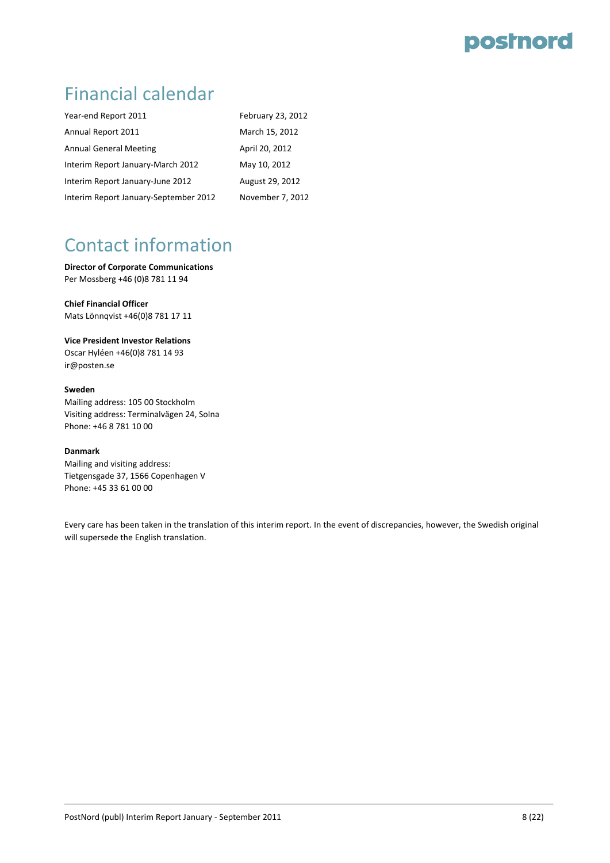### Financial calendar

| Year-end Report 2011                  | February 23, 2012 |
|---------------------------------------|-------------------|
| Annual Report 2011                    | March 15, 2012    |
| <b>Annual General Meeting</b>         | April 20, 2012    |
| Interim Report January-March 2012     | May 10, 2012      |
| Interim Report January-June 2012      | August 29, 2012   |
| Interim Report January-September 2012 | November 7, 2012  |

### Contact information

**Director of Corporate Communications** Per Mossberg +46 (0)8 781 11 94

**Chief Financial Officer** Mats Lönnqvist +46(0)8 781 17 11

#### **Vice President Investor Relations**

Oscar Hyléen +46(0)8 781 14 93 ir@posten.se

#### **Sweden**

Mailing address: 105 00 Stockholm Visiting address: Terminalvägen 24, Solna Phone: +46 8 781 10 00

#### **Danmark**

Mailing and visiting address: Tietgensgade 37, 1566 Copenhagen V Phone: +45 33 61 00 00

Every care has been taken in the translation of this interim report. In the event of discrepancies, however, the Swedish original will supersede the English translation.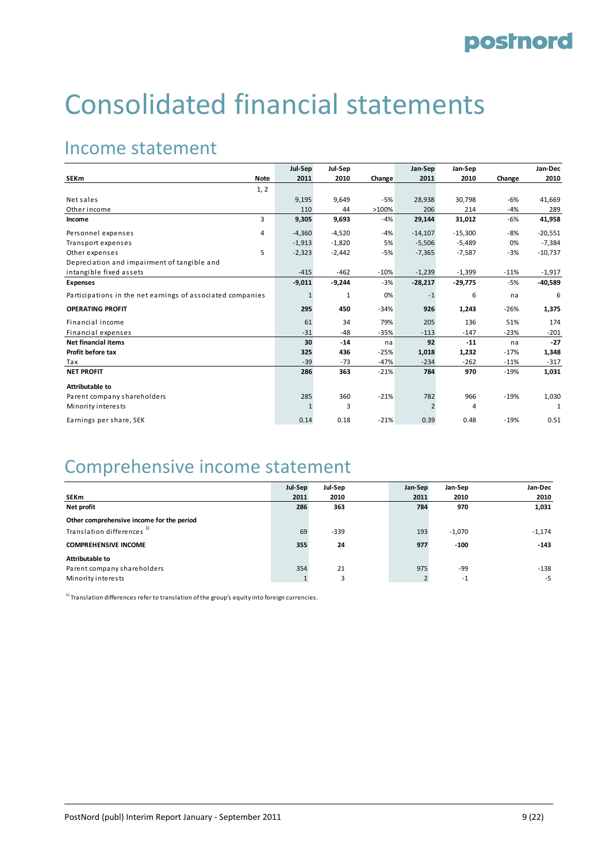# Consolidated financial statements

### Income statement

|                                                            |             | Jul-Sep  | Jul-Sep  |        | Jan-Sep        | Jan-Sep   |        | Jan-Dec   |
|------------------------------------------------------------|-------------|----------|----------|--------|----------------|-----------|--------|-----------|
| <b>SEKm</b>                                                | <b>Note</b> | 2011     | 2010     | Change | 2011           | 2010      | Change | 2010      |
|                                                            | 1, 2        |          |          |        |                |           |        |           |
| Net sales                                                  |             | 9,195    | 9,649    | $-5%$  | 28,938         | 30,798    | $-6%$  | 41,669    |
| Other income                                               |             | 110      | 44       | >100%  | 206            | 214       | $-4%$  | 289       |
| Income                                                     | 3           | 9,305    | 9,693    | -4%    | 29,144         | 31,012    | -6%    | 41,958    |
| Personnel expenses                                         | 4           | $-4,360$ | $-4,520$ | $-4%$  | $-14,107$      | $-15,300$ | $-8%$  | $-20,551$ |
| Transport expenses                                         |             | $-1,913$ | $-1,820$ | 5%     | $-5,506$       | $-5,489$  | 0%     | $-7,384$  |
| Other expenses                                             | 5           | $-2,323$ | $-2,442$ | -5%    | $-7,365$       | $-7,587$  | $-3%$  | $-10,737$ |
| Depreciation and impairment of tangible and                |             |          |          |        |                |           |        |           |
| intangible fixed assets                                    |             | $-415$   | $-462$   | $-10%$ | $-1,239$       | $-1,399$  | $-11%$ | $-1,917$  |
| <b>Expenses</b>                                            |             | $-9,011$ | $-9,244$ | $-3%$  | $-28,217$      | $-29,775$ | $-5%$  | $-40,589$ |
| Participations in the net earnings of associated companies |             | 1        | 1        | 0%     | $-1$           | 6         | na     | 6         |
| <b>OPERATING PROFIT</b>                                    |             | 295      | 450      | $-34%$ | 926            | 1,243     | $-26%$ | 1,375     |
| Financial income                                           |             | 61       | 34       | 79%    | 205            | 136       | 51%    | 174       |
| Financial expenses                                         |             | $-31$    | $-48$    | $-35%$ | $-113$         | $-147$    | $-23%$ | $-201$    |
| <b>Net financial items</b>                                 |             | 30       | $-14$    | na     | 92             | $-11$     | na     | $-27$     |
| Profit before tax                                          |             | 325      | 436      | $-25%$ | 1,018          | 1,232     | $-17%$ | 1,348     |
| Tax                                                        |             | $-39$    | $-73$    | $-47%$ | $-234$         | $-262$    | $-11%$ | $-317$    |
| <b>NET PROFIT</b>                                          |             | 286      | 363      | $-21%$ | 784            | 970       | $-19%$ | 1,031     |
| Attributable to                                            |             |          |          |        |                |           |        |           |
| Parent company shareholders                                |             | 285      | 360      | $-21%$ | 782            | 966       | $-19%$ | 1,030     |
| Minority interests                                         |             | 1        | 3        |        | $\overline{2}$ | 4         |        | 1         |
| Earnings per share, SEK                                    |             | 0.14     | 0.18     | $-21%$ | 0.39           | 0.48      | $-19%$ | 0.51      |

### Comprehensive income statement

|                                           | Jul-Sep | Jul-Sep | Jan-Sep | Jan-Sep  | Jan-Dec  |
|-------------------------------------------|---------|---------|---------|----------|----------|
| <b>SEKm</b>                               | 2011    | 2010    | 2011    | 2010     | 2010     |
| Net profit                                | 286     | 363     | 784     | 970      | 1,031    |
| Other comprehensive income for the period |         |         |         |          |          |
| Translation differences <sup>1)</sup>     | 69      | $-339$  | 193     | $-1,070$ | $-1,174$ |
| <b>COMPREHENSIVE INCOME</b>               | 355     | 24      | 977     | $-100$   | $-143$   |
| Attributable to                           |         |         |         |          |          |
| Parent company shareholders               | 354     | 21      | 975     | -99      | -138     |
| Minority interests                        |         | 3       |         | $-1$     | $-5$     |

 $1)$  Translation differences refer to translation of the group's equity into foreign currencies.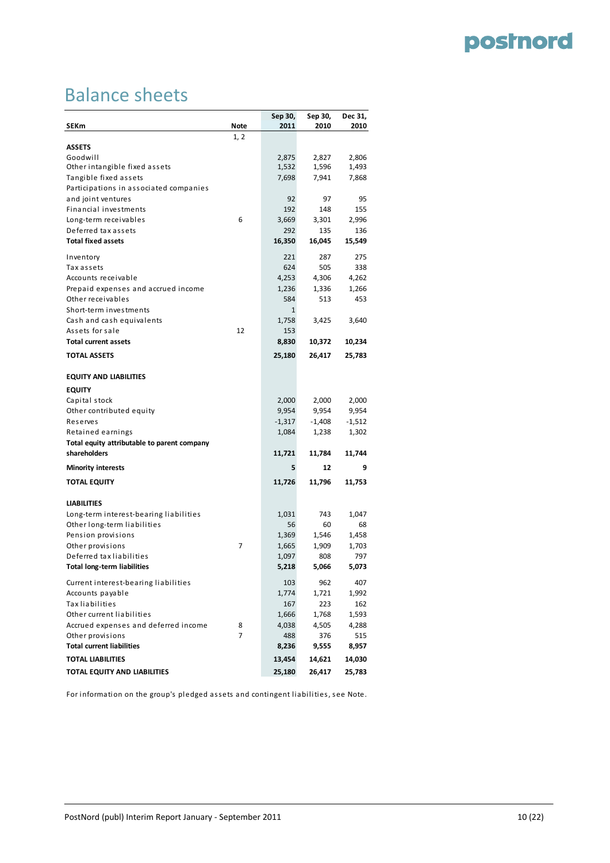# Balance sheets

| SEKm                                        | Note | Sep 30,<br>2011 | Sep 30,<br>2010 | Dec 31,<br>2010 |
|---------------------------------------------|------|-----------------|-----------------|-----------------|
|                                             | 1, 2 |                 |                 |                 |
| <b>ASSETS</b>                               |      |                 |                 |                 |
| Goodwill                                    |      | 2,875           | 2,827           | 2,806           |
| Other intangible fixed assets               |      | 1,532           | 1,596           | 1,493           |
| Tangible fixed assets                       |      | 7,698           | 7,941           | 7,868           |
| Participations in associated companies      |      |                 |                 |                 |
| and joint ventures                          |      | 92              | 97              | 95              |
| Financial investments                       |      | 192             | 148             | 155             |
| Long-term receivables                       | 6    | 3,669           | 3,301           | 2,996           |
| Deferred tax assets                         |      | 292             | 135             | 136             |
| <b>Total fixed assets</b>                   |      | 16,350          | 16,045          | 15,549          |
| Inventory                                   |      | 221             | 287             | 275             |
| Tax assets                                  |      | 624             | 505             | 338             |
| Accounts receivable                         |      | 4,253           | 4,306           | 4,262           |
| Prepaid expenses and accrued income         |      | 1,236           | 1,336           | 1,266           |
| Other receivables                           |      | 584             | 513             | 453             |
| Short-term investments                      |      | $\mathbf{1}$    |                 |                 |
| Cash and cash equivalents                   |      | 1,758           | 3,425           | 3,640           |
| Assets for sale                             | 12   | 153             |                 |                 |
| <b>Total current assets</b>                 |      | 8,830           | 10,372          | 10,234          |
| <b>TOTAL ASSETS</b>                         |      | 25,180          | 26,417          | 25,783          |
| <b>EQUITY AND LIABILITIES</b>               |      |                 |                 |                 |
| <b>EQUITY</b>                               |      |                 |                 |                 |
| Capital stock                               |      | 2,000           | 2,000           | 2,000           |
| Other contributed equity                    |      | 9,954           | 9,954           | 9,954           |
| Reserves                                    |      | $-1,317$        | $-1,408$        | $-1,512$        |
| Retained earnings                           |      | 1,084           | 1,238           | 1,302           |
| Total equity attributable to parent company |      |                 |                 |                 |
| shareholders                                |      | 11,721          | 11,784          | 11,744          |
| <b>Minority interests</b>                   |      | 5               | 12              | 9               |
| <b>TOTAL EQUITY</b>                         |      | 11,726          | 11,796          | 11,753          |
| <b>LIABILITIES</b>                          |      |                 |                 |                 |
| Long-term interest-bearing liabilities      |      | 1,031           | 743             | 1,047           |
| Other long-term liabilities                 |      | 56              | 60              | 68              |
| Pension provisions                          |      | 1,369           | 1,546           | 1,458           |
| Other provisions                            | 7    | 1,665           | 1,909           | 1,703           |
| Deferred tax liabilities                    |      | 1,097           | 808             | 797             |
| <b>Total long-term liabilities</b>          |      | 5,218           | 5,066           | 5,073           |
| Current interest-bearing liabilities        |      | 103             | 962             | 407             |
| Accounts payable                            |      | 1,774           | 1,721           | 1,992           |
| <b>Tax liabilities</b>                      |      | 167             | 223             | 162             |
| Other current liabilities                   |      | 1,666           | 1,768           | 1,593           |
| Accrued expenses and deferred income        | 8    | 4,038           | 4,505           | 4,288           |
| Other provisions                            | 7    | 488             | 376             | 515             |
| <b>Total current liabilities</b>            |      | 8,236           | 9,555           | 8,957           |
| <b>TOTAL LIABILITIES</b>                    |      | 13,454          | 14,621          | 14,030          |
| TOTAL EQUITY AND LIABILITIES                |      | 25,180          | 26,417          | 25,783          |

For information on the group's pledged assets and contingent liabilities, see Note.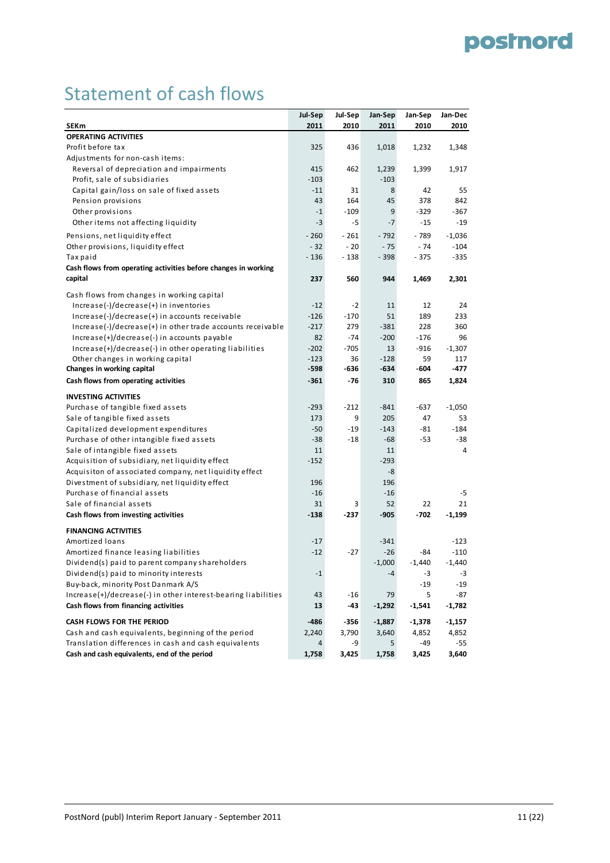# Statement of cash flows

|                                                                | Jul-Sep          | Jul-Sep    | Jan-Sep        | Jan-Sep    | Jan-Dec     |
|----------------------------------------------------------------|------------------|------------|----------------|------------|-------------|
| <b>SEKm</b>                                                    | 2011             | 2010       | 2011           | 2010       | 2010        |
| <b>OPERATING ACTIVITIES</b>                                    |                  |            |                |            |             |
| Profit before tax                                              | 325              | 436        | 1,018          | 1,232      | 1,348       |
| Adjustments for non-cash items:                                |                  |            |                |            |             |
| Reversal of depreciation and impairments                       | 415              | 462        | 1,239          | 1,399      | 1,917       |
| Profit, sale of subsidiaries                                   | $-103$           |            | $-103$         |            |             |
| Capital gain/loss on sale of fixed assets                      | $-11$            | 31         | 8              | 42         | 55          |
| Pension provisions                                             | 43               | 164        | 45             | 378        | 842         |
| Other provisions                                               | $-1$             | $-109$     | 9              | $-329$     | -367        |
| Other items not affecting liquidity                            | $-3$             | -5         | $-7$           | $-15$      | $-19$       |
| Pensions, net liquidity effect                                 | $-260$           | $-261$     | $-792$         | - 789      | $-1,036$    |
| Other provisions, liquidity effect                             | $-32$            | $-20$      | $-75$          | $-74$      | $-104$      |
| Tax paid                                                       | $-136$           | $-138$     | $-398$         | $-375$     | $-335$      |
| Cash flows from operating activities before changes in working |                  |            |                |            |             |
| capital                                                        | 237              | 560        | 944            | 1,469      | 2,301       |
|                                                                |                  |            |                |            |             |
| Cash flows from changes in working capital                     |                  |            |                |            |             |
| $Increase(-)/decrease(+)$ in inventories                       | $-12$            | $-2$       | 11             | 12         | 24          |
| Increase(-)/decrease(+) in accounts receivable                 | $-126$           | $-170$     | 51             | 189        | 233         |
| $Increase(-)/decrease(+)$ in other trade accounts receivable   | $-217$           | 279        | $-381$         | 228        | 360         |
| $Increase(+)/decrease(-)$ in accounts payable                  | 82               | $-74$      | $-200$         | $-176$     | 96          |
| Increase(+)/decrease(-) in other operating liabilities         | $-202$           | $-705$     | 13             | $-916$     | $-1,307$    |
| Other changes in working capital<br>Changes in working capital | $-123$<br>$-598$ | 36<br>-636 | $-128$<br>-634 | 59<br>-604 | 117<br>-477 |
|                                                                | $-361$           |            |                |            |             |
| Cash flows from operating activities                           |                  | -76        | 310            | 865        | 1,824       |
| <b>INVESTING ACTIVITIES</b>                                    |                  |            |                |            |             |
| Purchase of tangible fixed assets                              | $-293$           | $-212$     | $-841$         | $-637$     | $-1,050$    |
| Sale of tangible fixed assets                                  | 173              | 9          | 205            | 47         | 53          |
| Capitalized development expenditures                           | $-50$            | $-19$      | $-143$         | -81        | $-184$      |
| Purchase of other intangible fixed assets                      | $-38$            | -18        | $-68$          | -53        | -38         |
| Sale of intangible fixed assets                                | 11               |            | 11             |            | 4           |
| Acquisition of subsidiary, net liquidity effect                | $-152$           |            | $-293$         |            |             |
| Acquisiton of associated company, net liquidity effect         |                  |            | -8             |            |             |
| Divestment of subsidiary, net liquidity effect                 | 196              |            | 196            |            |             |
| Purchase of financial assets                                   | $-16$            |            | $-16$          |            | -5          |
| Sale of financial assets                                       | 31               | 3          | 52             | 22         | 21          |
| Cash flows from investing activities                           | $-138$           | $-237$     | -905           | $-702$     | $-1,199$    |
| <b>FINANCING ACTIVITIES</b>                                    |                  |            |                |            |             |
| Amortized loans                                                | $-17$            |            | $-341$         |            | $-123$      |
| Amortized finance leasing liabilities                          | $-12$            | $-27$      | $-26$          | -84        | -110        |
| Dividend(s) paid to parent company shareholders                |                  |            | $-1,000$       | $-1,440$   | $-1,440$    |
| Dividend(s) paid to minority interests                         | $-1$             |            | $-4$           | -3         | $-3$        |
| Buy-back, minority Post Danmark A/S                            |                  |            |                | $-19$      | $-19$       |
| Increase(+)/decrease(-) in other interest-bearing liabilities  | 43               | -16        | 79             | 5          | -87         |
| Cash flows from financing activities                           | 13               | -43        | $-1,292$       | $-1,541$   | $-1,782$    |
|                                                                |                  |            |                |            |             |
| CASH FLOWS FOR THE PERIOD                                      | -486             | -356       | $-1,887$       | $-1,378$   | $-1,157$    |
| Cash and cash equivalents, beginning of the period             | 2,240            | 3,790      | 3,640          | 4,852      | 4,852       |
| Translation differences in cash and cash equivalents           | 4                | -9         | 5              | -49        | -55         |
| Cash and cash equivalents, end of the period                   | 1,758            | 3,425      | 1,758          | 3,425      | 3,640       |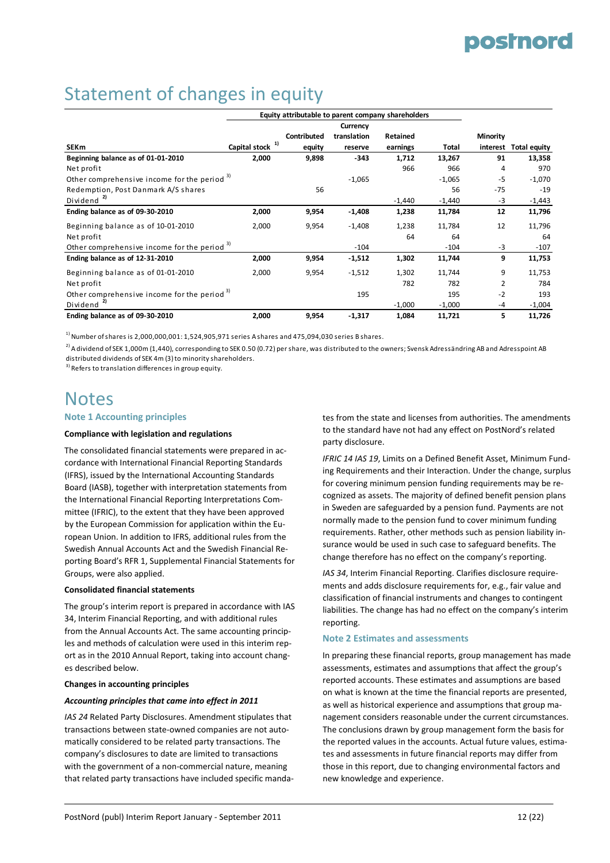### Statement of changes in equity

|                                                         |               |             | Currency    |          |          |                 |                     |
|---------------------------------------------------------|---------------|-------------|-------------|----------|----------|-----------------|---------------------|
|                                                         |               | Contributed | translation | Retained |          | <b>Minority</b> |                     |
| <b>SEKm</b>                                             | Capital stock | equity      | reserve     | earnings | Total    | interest        | <b>Total equity</b> |
| Beginning balance as of 01-01-2010                      | 2,000         | 9,898       | $-343$      | 1,712    | 13,267   | 91              | 13,358              |
| Net profit                                              |               |             |             | 966      | 966      | 4               | 970                 |
| Other comprehensive income for the period <sup>3)</sup> |               |             | $-1,065$    |          | $-1,065$ | -5              | $-1,070$            |
| Redemption, Post Danmark A/S shares                     |               | 56          |             |          | 56       | $-75$           | $-19$               |
| Dividend                                                |               |             |             | $-1,440$ | $-1,440$ | -3              | $-1,443$            |
| Ending balance as of 09-30-2010                         | 2,000         | 9,954       | $-1,408$    | 1,238    | 11,784   | 12              | 11,796              |
| Beginning balance as of 10-01-2010                      | 2,000         | 9,954       | $-1,408$    | 1,238    | 11,784   | 12              | 11,796              |
| Net profit                                              |               |             |             | 64       | 64       |                 | 64                  |
| Other comprehensive income for the period <sup>3)</sup> |               |             | $-104$      |          | $-104$   | $-3$            | $-107$              |
| Ending balance as of 12-31-2010                         | 2,000         | 9,954       | $-1,512$    | 1,302    | 11,744   | 9               | 11,753              |
| Beginning balance as of 01-01-2010                      | 2,000         | 9,954       | $-1,512$    | 1,302    | 11,744   | 9               | 11,753              |
| Net profit                                              |               |             |             | 782      | 782      | 2               | 784                 |
| Other comprehensive income for the period <sup>3)</sup> |               |             | 195         |          | 195      | $-2$            | 193                 |
| Dividend <sup>2)</sup>                                  |               |             |             | $-1,000$ | $-1,000$ | -4              | $-1,004$            |
| Ending balance as of 09-30-2010                         | 2,000         | 9,954       | $-1,317$    | 1,084    | 11,721   | 5               | 11,726              |

 $1)$  Number of shares is 2,000,000,001: 1,524,905,971 series A shares and 475,094,030 series B shares.

 $^{2)}$ Adividend of SEK 1,000m (1,440), corresponding to SEK 0.50 (0.72) per share, was distributed to the owners; Svensk Adressändring AB and Adresspoint AB distributed dividends of SEK 4m (3) to minority shareholders.

 $3)$  Refers to translation differences in group equity.

### **Notes**

#### **Note 1 Accounting principles**

#### **Compliance with legislation and regulations**

The consolidated financial statements were prepared in ac‐ cordance with International Financial Reporting Standards (IFRS), issued by the International Accounting Standards Board (IASB), together with interpretation statements from the International Financial Reporting Interpretations Com‐ mittee (IFRIC), to the extent that they have been approved by the European Commission for application within the Eu‐ ropean Union. In addition to IFRS, additional rules from the Swedish Annual Accounts Act and the Swedish Financial Re‐ porting Board's RFR 1, Supplemental Financial Statements for Groups, were also applied.

#### **Consolidated financial statements**

The group's interim report is prepared in accordance with IAS 34, Interim Financial Reporting, and with additional rules from the Annual Accounts Act. The same accounting princip‐ les and methods of calculation were used in this interim rep‐ ort as in the 2010 Annual Report, taking into account chang‐ es described below.

#### **Changes in accounting principles**

#### *Accounting principles that came into effect in 2011*

*IAS 24* Related Party Disclosures. Amendment stipulates that transactions between state‐owned companies are not auto‐ matically considered to be related party transactions. The company's disclosures to date are limited to transactions with the government of a non-commercial nature, meaning that related party transactions have included specific manda‐ tes from the state and licenses from authorities. The amendments to the standard have not had any effect on PostNord's related party disclosure.

*IFRIC 14 IAS 19*, Limits on a Defined Benefit Asset, Minimum Fund‐ ing Requirements and their Interaction. Under the change, surplus for covering minimum pension funding requirements may be re‐ cognized as assets. The majority of defined benefit pension plans in Sweden are safeguarded by a pension fund. Payments are not normally made to the pension fund to cover minimum funding requirements. Rather, other methods such as pension liability in‐ surance would be used in such case to safeguard benefits. The change therefore has no effect on the company's reporting.

*IAS 34*, Interim Financial Reporting. Clarifies disclosure require‐ ments and adds disclosure requirements for, e.g., fair value and classification of financial instruments and changes to contingent liabilities. The change has had no effect on the company's interim reporting.

#### **Note 2 Estimates and assessments**

In preparing these financial reports, group management has made assessments, estimates and assumptions that affect the group's reported accounts. These estimates and assumptions are based on what is known at the time the financial reports are presented, as well as historical experience and assumptions that group ma‐ nagement considers reasonable under the current circumstances. The conclusions drawn by group management form the basis for the reported values in the accounts. Actual future values, estimates and assessments in future financial reports may differ from those in this report, due to changing environmental factors and new knowledge and experience.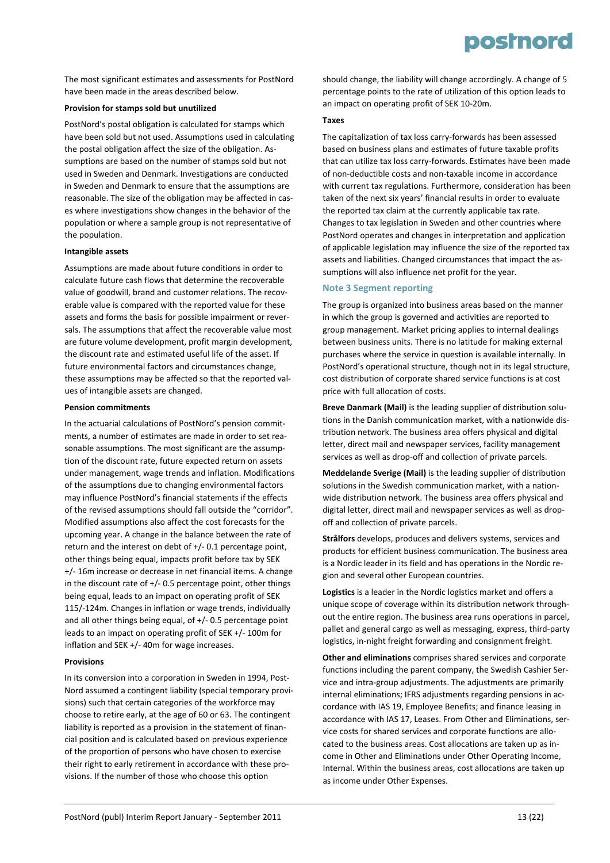The most significant estimates and assessments for PostNord have been made in the areas described below.

#### **Provision for stamps sold but unutilized**

PostNord's postal obligation is calculated for stamps which have been sold but not used. Assumptions used in calculating the postal obligation affect the size of the obligation. As‐ sumptions are based on the number of stamps sold but not used in Sweden and Denmark. Investigations are conducted in Sweden and Denmark to ensure that the assumptions are reasonable. The size of the obligation may be affected in cases where investigations show changes in the behavior of the population or where a sample group is not representative of the population.

#### **Intangible assets**

Assumptions are made about future conditions in order to calculate future cash flows that determine the recoverable value of goodwill, brand and customer relations. The recoverable value is compared with the reported value for these assets and forms the basis for possible impairment or rever‐ sals. The assumptions that affect the recoverable value most are future volume development, profit margin development, the discount rate and estimated useful life of the asset. If future environmental factors and circumstances change, these assumptions may be affected so that the reported val‐ ues of intangible assets are changed.

#### **Pension commitments**

In the actuarial calculations of PostNord's pension commit‐ ments, a number of estimates are made in order to set reasonable assumptions. The most significant are the assump‐ tion of the discount rate, future expected return on assets under management, wage trends and inflation. Modifications of the assumptions due to changing environmental factors may influence PostNord's financial statements if the effects of the revised assumptions should fall outside the "corridor". Modified assumptions also affect the cost forecasts for the upcoming year. A change in the balance between the rate of return and the interest on debt of +/‐ 0.1 percentage point, other things being equal, impacts profit before tax by SEK +/‐ 16m increase or decrease in net financial items. A change in the discount rate of  $+/$ -0.5 percentage point, other things being equal, leads to an impact on operating profit of SEK 115/‐124m. Changes in inflation or wage trends, individually and all other things being equal, of +/‐ 0.5 percentage point leads to an impact on operating profit of SEK +/‐ 100m for inflation and SEK +/‐ 40m for wage increases.

#### **Provisions**

In its conversion into a corporation in Sweden in 1994, Post-Nord assumed a contingent liability (special temporary provi‐ sions) such that certain categories of the workforce may choose to retire early, at the age of 60 or 63. The contingent liability is reported as a provision in the statement of finan‐ cial position and is calculated based on previous experience of the proportion of persons who have chosen to exercise their right to early retirement in accordance with these pro‐ visions. If the number of those who choose this option

should change, the liability will change accordingly. A change of 5 percentage points to the rate of utilization of this option leads to an impact on operating profit of SEK 10‐20m.

#### **Taxes**

The capitalization of tax loss carry‐forwards has been assessed based on business plans and estimates of future taxable profits that can utilize tax loss carry‐forwards. Estimates have been made of non‐deductible costs and non‐taxable income in accordance with current tax regulations. Furthermore, consideration has been taken of the next six years' financial results in order to evaluate the reported tax claim at the currently applicable tax rate. Changes to tax legislation in Sweden and other countries where PostNord operates and changes in interpretation and application of applicable legislation may influence the size of the reported tax assets and liabilities. Changed circumstances that impact the as‐ sumptions will also influence net profit for the year.

#### **Note 3 Segment reporting**

The group is organized into business areas based on the manner in which the group is governed and activities are reported to group management. Market pricing applies to internal dealings between business units. There is no latitude for making external purchases where the service in question is available internally. In PostNord's operational structure, though not in its legal structure, cost distribution of corporate shared service functions is at cost price with full allocation of costs.

**Breve Danmark (Mail)** is the leading supplier of distribution solu‐ tions in the Danish communication market, with a nationwide dis‐ tribution network. The business area offers physical and digital letter, direct mail and newspaper services, facility management services as well as drop-off and collection of private parcels.

**Meddelande Sverige (Mail)** is the leading supplier of distribution solutions in the Swedish communication market, with a nationwide distribution network. The business area offers physical and digital letter, direct mail and newspaper services as well as drop‐ off and collection of private parcels.

**Strålfors** develops, produces and delivers systems, services and products for efficient business communication. The business area is a Nordic leader in its field and has operations in the Nordic re‐ gion and several other European countries.

**Logistics** is a leader in the Nordic logistics market and offers a unique scope of coverage within its distribution network through‐ out the entire region. The business area runs operations in parcel, pallet and general cargo as well as messaging, express, third‐party logistics, in‐night freight forwarding and consignment freight.

**Other and eliminations** comprises shared services and corporate functions including the parent company, the Swedish Cashier Ser‐ vice and intra‐group adjustments. The adjustments are primarily internal eliminations; IFRS adjustments regarding pensions in accordance with IAS 19, Employee Benefits; and finance leasing in accordance with IAS 17, Leases. From Other and Eliminations, ser‐ vice costs for shared services and corporate functions are allo‐ cated to the business areas. Cost allocations are taken up as in‐ come in Other and Eliminations under Other Operating Income, Internal. Within the business areas, cost allocations are taken up as income under Other Expenses.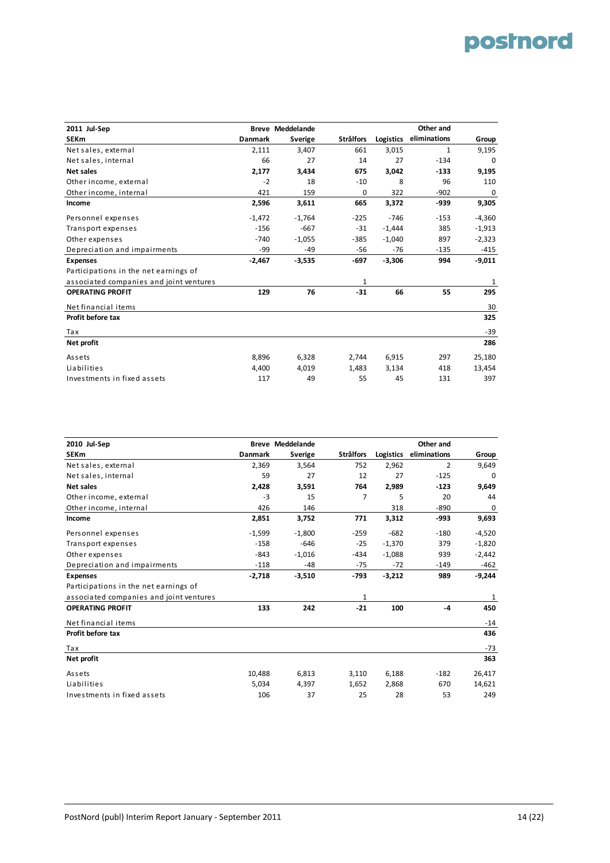| 2011 Jul-Sep                            |          | <b>Breve Meddelande</b> |                  |           | Other and    |          |
|-----------------------------------------|----------|-------------------------|------------------|-----------|--------------|----------|
| <b>SEKm</b>                             | Danmark  | Sverige                 | <b>Strålfors</b> | Logistics | eliminations | Group    |
| Net sales, external                     | 2,111    | 3,407                   | 661              | 3,015     | $\mathbf{1}$ | 9,195    |
| Net sales, internal                     | 66       | 27                      | 14               | 27        | $-134$       | 0        |
| <b>Net sales</b>                        | 2,177    | 3,434                   | 675              | 3,042     | $-133$       | 9,195    |
| Other income, external                  | $-2$     | 18                      | $-10$            | 8         | 96           | 110      |
| Other income, internal                  | 421      | 159                     | 0                | 322       | $-902$       | 0        |
| Income                                  | 2,596    | 3,611                   | 665              | 3,372     | $-939$       | 9,305    |
| Personnel expenses                      | $-1,472$ | $-1,764$                | $-225$           | $-746$    | $-153$       | $-4,360$ |
| Transport expenses                      | $-156$   | $-667$                  | $-31$            | $-1,444$  | 385          | $-1,913$ |
| Other expenses                          | $-740$   | $-1,055$                | $-385$           | $-1,040$  | 897          | $-2,323$ |
| Depreciation and impairments            | -99      | $-49$                   | -56              | $-76$     | $-135$       | -415     |
| <b>Expenses</b>                         | $-2,467$ | $-3,535$                | -697             | $-3,306$  | 994          | $-9,011$ |
| Participations in the net earnings of   |          |                         |                  |           |              |          |
| associated companies and joint ventures |          |                         | 1                |           |              | 1        |
| <b>OPERATING PROFIT</b>                 | 129      | 76                      | $-31$            | 66        | 55           | 295      |
| Net financial items                     |          |                         |                  |           |              | 30       |
| Profit before tax                       |          |                         |                  |           |              | 325      |
| Tax                                     |          |                         |                  |           |              | -39      |
| Net profit                              |          |                         |                  |           |              | 286      |
| Assets                                  | 8,896    | 6,328                   | 2,744            | 6,915     | 297          | 25,180   |
| Liabilities                             | 4,400    | 4,019                   | 1,483            | 3,134     | 418          | 13,454   |
| Investments in fixed assets             | 117      | 49                      | 55               | 45        | 131          | 397      |

| 2010 Jul-Sep                            |                | <b>Breve Meddelande</b> |                  |           | Other and    |          |
|-----------------------------------------|----------------|-------------------------|------------------|-----------|--------------|----------|
| <b>SEKm</b>                             | <b>Danmark</b> | Sverige                 | <b>Strålfors</b> | Logistics | eliminations | Group    |
| Net sales, external                     | 2,369          | 3,564                   | 752              | 2,962     | 2            | 9,649    |
| Net sales, internal                     | 59             | 27                      | 12               | 27        | $-125$       | 0        |
| <b>Net sales</b>                        | 2,428          | 3,591                   | 764              | 2,989     | $-123$       | 9,649    |
| Other income, external                  | $-3$           | 15                      | 7                | 5         | 20           | 44       |
| Other income, internal                  | 426            | 146                     |                  | 318       | $-890$       | 0        |
| Income                                  | 2,851          | 3,752                   | 771              | 3,312     | -993         | 9,693    |
| Personnel expenses                      | $-1,599$       | $-1,800$                | $-259$           | $-682$    | $-180$       | $-4,520$ |
| Transport expenses                      | $-158$         | $-646$                  | $-25$            | $-1,370$  | 379          | $-1,820$ |
| Other expenses                          | $-843$         | $-1,016$                | $-434$           | $-1,088$  | 939          | $-2,442$ |
| Depreciation and impairments            | $-118$         | $-48$                   | $-75$            | $-72$     | $-149$       | -462     |
| <b>Expenses</b>                         | $-2,718$       | $-3,510$                | $-793$           | $-3,212$  | 989          | $-9,244$ |
| Participations in the net earnings of   |                |                         |                  |           |              |          |
| associated companies and joint ventures |                |                         | 1                |           |              | 1        |
| <b>OPERATING PROFIT</b>                 | 133            | 242                     | $-21$            | 100       | -4           | 450      |
| Net financial items                     |                |                         |                  |           |              | $-14$    |
| Profit before tax                       |                |                         |                  |           |              | 436      |
| Tax                                     |                |                         |                  |           |              | $-73$    |
| Net profit                              |                |                         |                  |           |              | 363      |
| Assets                                  | 10,488         | 6,813                   | 3,110            | 6,188     | $-182$       | 26,417   |
| Liabilities                             | 5,034          | 4,397                   | 1,652            | 2,868     | 670          | 14,621   |
| Investments in fixed assets             | 106            | 37                      | 25               | 28        | 53           | 249      |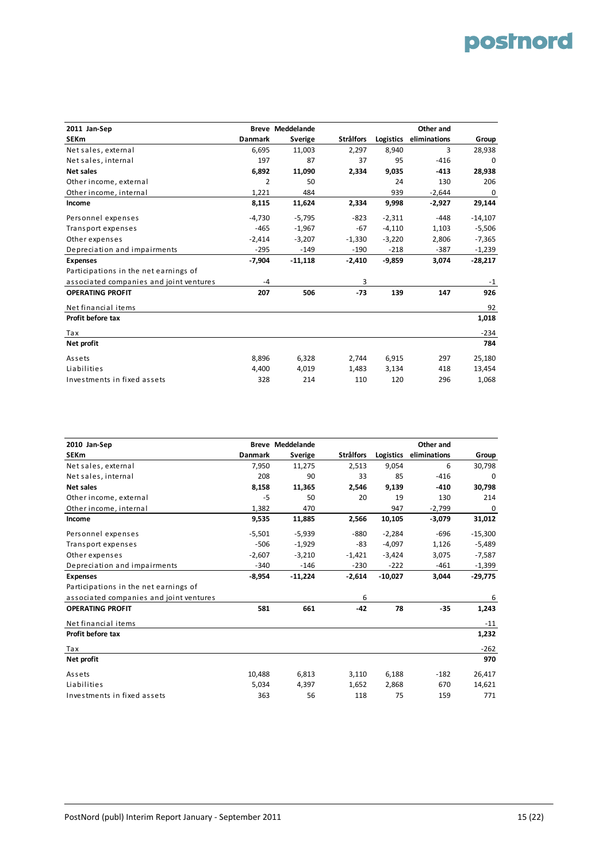| 2011 Jan-Sep                            |                | <b>Breve Meddelande</b> |                  |           | Other and    |             |
|-----------------------------------------|----------------|-------------------------|------------------|-----------|--------------|-------------|
| <b>SEKm</b>                             | <b>Danmark</b> | Sverige                 | <b>Strålfors</b> | Logistics | eliminations | Group       |
| Net sales, external                     | 6,695          | 11,003                  | 2,297            | 8,940     | 3            | 28,938      |
| Net sales, internal                     | 197            | 87                      | 37               | 95        | $-416$       | 0           |
| <b>Net sales</b>                        | 6,892          | 11,090                  | 2,334            | 9,035     | $-413$       | 28,938      |
| Other income, external                  | 2              | 50                      |                  | 24        | 130          | 206         |
| Other income, internal                  | 1,221          | 484                     |                  | 939       | $-2,644$     | $\mathbf 0$ |
| Income                                  | 8,115          | 11,624                  | 2,334            | 9,998     | $-2,927$     | 29,144      |
| Personnel expenses                      | $-4,730$       | $-5,795$                | $-823$           | $-2,311$  | -448         | $-14,107$   |
| Transport expenses                      | $-465$         | $-1,967$                | $-67$            | $-4,110$  | 1,103        | $-5,506$    |
| Other expenses                          | $-2,414$       | $-3,207$                | $-1,330$         | $-3,220$  | 2,806        | $-7,365$    |
| Depreciation and impairments            | $-295$         | $-149$                  | $-190$           | $-218$    | $-387$       | $-1,239$    |
| <b>Expenses</b>                         | $-7,904$       | $-11,118$               | $-2,410$         | $-9,859$  | 3,074        | -28,217     |
| Participations in the net earnings of   |                |                         |                  |           |              |             |
| associated companies and joint ventures | $-4$           |                         | 3                |           |              | $-1$        |
| <b>OPERATING PROFIT</b>                 | 207            | 506                     | $-73$            | 139       | 147          | 926         |
| Net financial items                     |                |                         |                  |           |              | 92          |
| Profit before tax                       |                |                         |                  |           |              | 1,018       |
| Tax                                     |                |                         |                  |           |              | $-234$      |
| Net profit                              |                |                         |                  |           |              | 784         |
| Assets                                  | 8,896          | 6,328                   | 2,744            | 6,915     | 297          | 25,180      |
| Liabilities                             | 4,400          | 4,019                   | 1,483            | 3,134     | 418          | 13,454      |
| Investments in fixed assets             | 328            | 214                     | 110              | 120       | 296          | 1,068       |

| 2010 Jan-Sep                            |                | <b>Breve Meddelande</b> |                  |           | Other and    |           |
|-----------------------------------------|----------------|-------------------------|------------------|-----------|--------------|-----------|
| <b>SEKm</b>                             | <b>Danmark</b> | Sverige                 | <b>Strålfors</b> | Logistics | eliminations | Group     |
| Net sales, external                     | 7,950          | 11,275                  | 2,513            | 9,054     | 6            | 30,798    |
| Net sales, internal                     | 208            | 90                      | 33               | 85        | $-416$       | 0         |
| <b>Net sales</b>                        | 8,158          | 11,365                  | 2,546            | 9,139     | $-410$       | 30,798    |
| Other income, external                  | $-5$           | 50                      | 20               | 19        | 130          | 214       |
| Other income, internal                  | 1,382          | 470                     |                  | 947       | $-2,799$     | 0         |
| Income                                  | 9,535          | 11,885                  | 2,566            | 10,105    | $-3,079$     | 31,012    |
| Personnel expenses                      | $-5,501$       | $-5,939$                | -880             | $-2,284$  | -696         | $-15,300$ |
| Transport expenses                      | $-506$         | $-1,929$                | -83              | $-4,097$  | 1,126        | $-5,489$  |
| Other expenses                          | $-2,607$       | $-3,210$                | $-1,421$         | $-3,424$  | 3,075        | $-7,587$  |
| Depreciation and impairments            | $-340$         | $-146$                  | $-230$           | $-222$    | $-461$       | -1,399    |
| <b>Expenses</b>                         | $-8,954$       | $-11,224$               | $-2,614$         | $-10,027$ | 3,044        | $-29,775$ |
| Participations in the net earnings of   |                |                         |                  |           |              |           |
| associated companies and joint ventures |                |                         | 6                |           |              | 6         |
| <b>OPERATING PROFIT</b>                 | 581            | 661                     | $-42$            | 78        | $-35$        | 1,243     |
| Net financial items                     |                |                         |                  |           |              | $-11$     |
| Profit before tax                       |                |                         |                  |           |              | 1,232     |
| Tax                                     |                |                         |                  |           |              | $-262$    |
| Net profit                              |                |                         |                  |           |              | 970       |
| Assets                                  | 10,488         | 6,813                   | 3,110            | 6,188     | $-182$       | 26,417    |
| Liabilities                             | 5,034          | 4,397                   | 1,652            | 2,868     | 670          | 14,621    |
| Investments in fixed assets             | 363            | 56                      | 118              | 75        | 159          | 771       |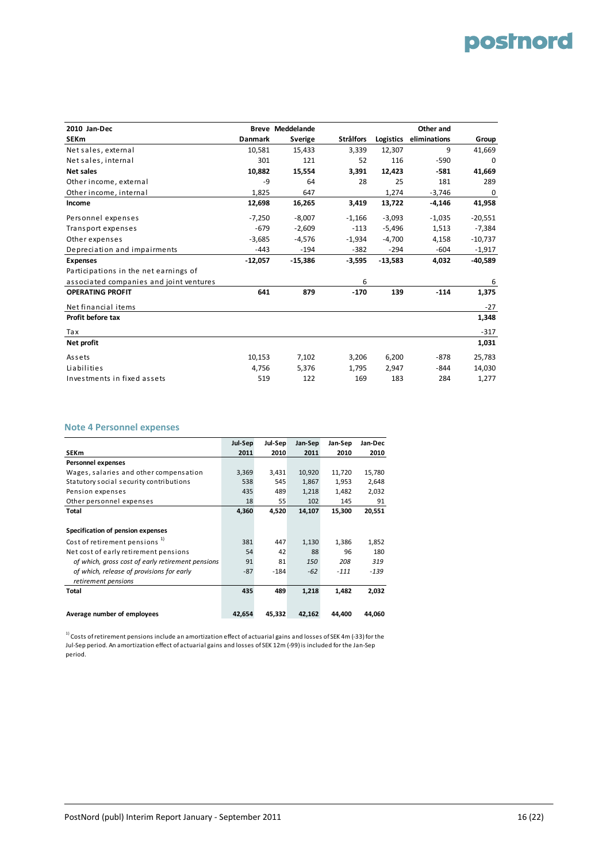| 2010 Jan-Dec                            |           | <b>Breve Meddelande</b> |                  |           | Other and    |           |
|-----------------------------------------|-----------|-------------------------|------------------|-----------|--------------|-----------|
| <b>SEKm</b>                             | Danmark   | Sverige                 | <b>Strålfors</b> | Logistics | eliminations | Group     |
| Net sales, external                     | 10,581    | 15,433                  | 3,339            | 12,307    | 9            | 41,669    |
| Net sales, internal                     | 301       | 121                     | 52               | 116       | $-590$       | 0         |
| <b>Net sales</b>                        | 10,882    | 15,554                  | 3,391            | 12,423    | $-581$       | 41,669    |
| Other income, external                  | $-9$      | 64                      | 28               | 25        | 181          | 289       |
| Other income, internal                  | 1,825     | 647                     |                  | 1,274     | $-3,746$     | 0         |
| Income                                  | 12,698    | 16,265                  | 3,419            | 13,722    | $-4,146$     | 41,958    |
| Personnel expenses                      | $-7,250$  | $-8,007$                | $-1,166$         | $-3,093$  | $-1,035$     | $-20,551$ |
| Transport expenses                      | $-679$    | $-2,609$                | $-113$           | $-5,496$  | 1,513        | $-7,384$  |
| Other expenses                          | $-3,685$  | $-4,576$                | $-1,934$         | $-4,700$  | 4,158        | $-10,737$ |
| Depreciation and impairments            | $-443$    | $-194$                  | $-382$           | $-294$    | $-604$       | $-1,917$  |
| <b>Expenses</b>                         | $-12,057$ | $-15,386$               | $-3,595$         | $-13,583$ | 4,032        | -40,589   |
| Participations in the net earnings of   |           |                         |                  |           |              |           |
| associated companies and joint ventures |           |                         | 6                |           |              | 6         |
| <b>OPERATING PROFIT</b>                 | 641       | 879                     | $-170$           | 139       | $-114$       | 1,375     |
| Net financial items                     |           |                         |                  |           |              | $-27$     |
| Profit before tax                       |           |                         |                  |           |              | 1,348     |
| Tax                                     |           |                         |                  |           |              | $-317$    |
| Net profit                              |           |                         |                  |           |              | 1,031     |
| Assets                                  | 10,153    | 7,102                   | 3,206            | 6,200     | $-878$       | 25,783    |
| Liabilities                             | 4,756     | 5,376                   | 1,795            | 2,947     | -844         | 14,030    |
| Investments in fixed assets             | 519       | 122                     | 169              | 183       | 284          | 1,277     |

#### **Note 4 Personnel expenses**

|                                                   | Jul-Sep | Jul-Sep | Jan-Sep | Jan-Sep | Jan-Dec |
|---------------------------------------------------|---------|---------|---------|---------|---------|
| <b>SEKm</b>                                       | 2011    | 2010    | 2011    | 2010    | 2010    |
| <b>Personnel expenses</b>                         |         |         |         |         |         |
| Wages, salaries and other compensation            | 3,369   | 3,431   | 10,920  | 11,720  | 15,780  |
| Statutory social security contributions           | 538     | 545     | 1,867   | 1,953   | 2,648   |
| Pension expenses                                  | 435     | 489     | 1,218   | 1,482   | 2,032   |
| Other personnel expenses                          | 18      | 55      | 102     | 145     | 91      |
| Total                                             | 4,360   | 4,520   | 14,107  | 15,300  | 20,551  |
|                                                   |         |         |         |         |         |
| Specification of pension expenses                 |         |         |         |         |         |
| Cost of retirement pensions <sup>1)</sup>         | 381     | 447     | 1,130   | 1,386   | 1,852   |
| Net cost of early retirement pensions             | 54      | 42      | 88      | 96      | 180     |
| of which, gross cost of early retirement pensions | 91      | 81      | 150     | 208     | 319     |
| of which, release of provisions for early         | $-87$   | $-184$  | $-62$   | $-111$  | $-139$  |
| retirement pensions                               |         |         |         |         |         |
| Total                                             | 435     | 489     | 1,218   | 1,482   | 2,032   |
|                                                   |         |         |         |         |         |
| Average number of employees                       | 42,654  | 45,332  | 42,162  | 44,400  | 44,060  |

 $1$ <sup>1</sup> Costs of retirement pensions include an amortization effect of actuarial gains and losses of SEK 4m (-33) for the Jul‐Sep period. An amortization effect of actuarial gains and losses of SEK 12m (‐99)is included for the Jan‐Sep period.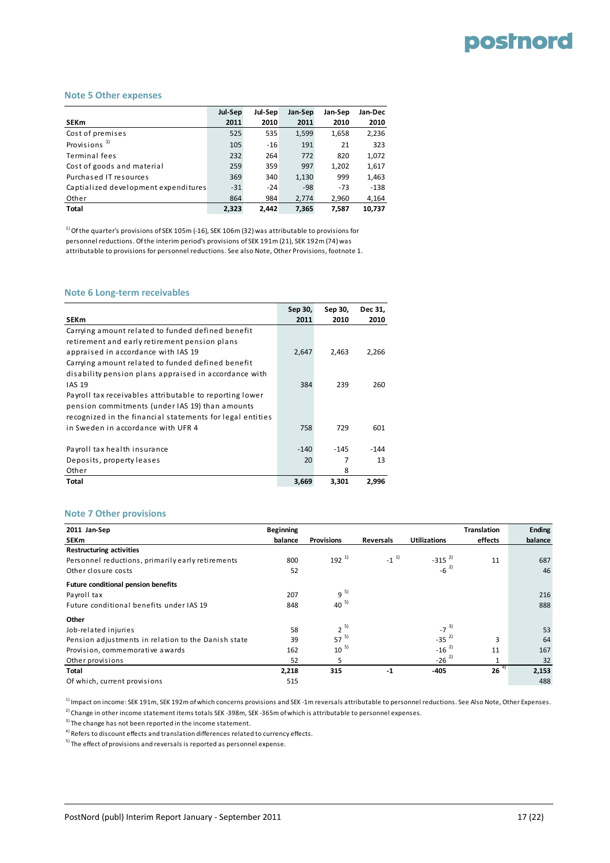#### **Note 5 Other expenses**

|                                      | Jul-Sep | Jul-Sep | Jan-Sep | Jan-Sep | Jan-Dec |
|--------------------------------------|---------|---------|---------|---------|---------|
| <b>SEKm</b>                          | 2011    | 2010    | 2011    | 2010    | 2010    |
| Cost of premises                     | 525     | 535     | 1,599   | 1,658   | 2,236   |
| Provisions <sup>1)</sup>             | 105     | $-16$   | 191     | 21      | 323     |
| Terminal fees                        | 232     | 264     | 772     | 820     | 1,072   |
| Cost of goods and material           | 259     | 359     | 997     | 1,202   | 1,617   |
| Purchased IT resources               | 369     | 340     | 1,130   | 999     | 1,463   |
| Captialized development expenditures | $-31$   | $-24$   | $-98$   | $-73$   | $-138$  |
| Other                                | 864     | 984     | 2.774   | 2,960   | 4,164   |
| <b>Total</b>                         | 2.323   | 2.442   | 7.365   | 7.587   | 10,737  |

 $1)$  Of the quarter's provisions of SEK 105m (-16), SEK 106m (32) was attributable to provisions for personnel reductions. Ofthe interim period's provisions of SEK 191m (21), SEK 192m (74) was attributable to provisions for personnel reductions. See also Note, Other Provisions, footnote 1.

#### **Note 6 Long‐term receivables**

|                                                           | Sep 30, | Sep 30, | Dec 31, |
|-----------------------------------------------------------|---------|---------|---------|
| <b>SEKm</b>                                               | 2011    | 2010    | 2010    |
| Carrying amount related to funded defined benefit         |         |         |         |
| retirement and early retirement pension plans             |         |         |         |
| appraised in accordance with IAS 19                       | 2,647   | 2.463   | 2,266   |
| Carrying amount related to funded defined benefit         |         |         |         |
| disability pension plans appraised in accordance with     |         |         |         |
| <b>IAS 19</b>                                             | 384     | 239     | 260     |
| Payroll tax receivables attributable to reporting lower   |         |         |         |
| pension commitments (under IAS 19) than amounts           |         |         |         |
| recognized in the financial statements for legal entities |         |         |         |
| in Sweden in accordance with UFR 4                        | 758     | 729     | 601     |
|                                                           |         |         |         |
| Payroll tax health insurance                              | $-140$  | $-145$  | $-144$  |
| Deposits, property leases                                 | 20      | 7       | 13      |
| Other                                                     |         | 8       |         |
| Total                                                     | 3,669   | 3.301   | 2.996   |

#### **Note 7 Other provisions**

| 2011 Jan-Sep                                        | <b>Beginning</b> |                   |                  |                     | <b>Translation</b> | <b>Ending</b> |
|-----------------------------------------------------|------------------|-------------------|------------------|---------------------|--------------------|---------------|
| SEKm                                                | balance          | <b>Provisions</b> | <b>Reversals</b> | <b>Utilizations</b> | effects            | balance       |
| <b>Restructuring activities</b>                     |                  |                   |                  |                     |                    |               |
| Personnel reductions, primarily early retirements   | 800              | $192^{1}$         | $-1^{1}$         | $-315^{2}$          | 11                 | 687           |
| Other closure costs                                 | 52               |                   |                  | $-6^{2}$            |                    | 46            |
| <b>Future conditional pension benefits</b>          |                  |                   |                  |                     |                    |               |
| Payroll tax                                         | 207              | $9^{5}$           |                  |                     |                    | 216           |
| Future conditional benefits under IAS 19            | 848              | $40^{5}$          |                  |                     |                    | 888           |
| Other                                               |                  |                   |                  |                     |                    |               |
| Job-related injuries                                | 58               | $2^{5}$           |                  | $-7^{3}$            |                    | 53            |
| Pension adjustments in relation to the Danish state | 39               | $57^{5}$          |                  | $-35^{2}$           | 3                  | 64            |
| Provision, commemorative awards                     | 162              | $10^{-5}$         |                  | $-16^{2}$           | 11                 | 167           |
| Other provisions                                    | 52               | 5                 |                  | $-26^{2}$           | 1                  | 32            |
| Total                                               | 2,218            | 315               | $-1$             | $-405$              | $26^{4}$           | 2,153         |
| Of which, current provisions                        | 515              |                   |                  |                     |                    | 488           |

<sup>1)</sup> Impact on income: SEK 191m, SEK 192m of which concerns provisions and SEK -1m reversals attributable to personnel reductions. See Also Note, Other Expenses.

<sup>2)</sup> Change in other income statement items totals SEK -398m, SEK -365m of which is attributable to personnel expenses.

<sup>3)</sup> The change has not been reported in the income statement.

4) Refers to discount effects and translation differences related to currency effects.

 $5)$  The effect of provisions and reversals is reported as personnel expense.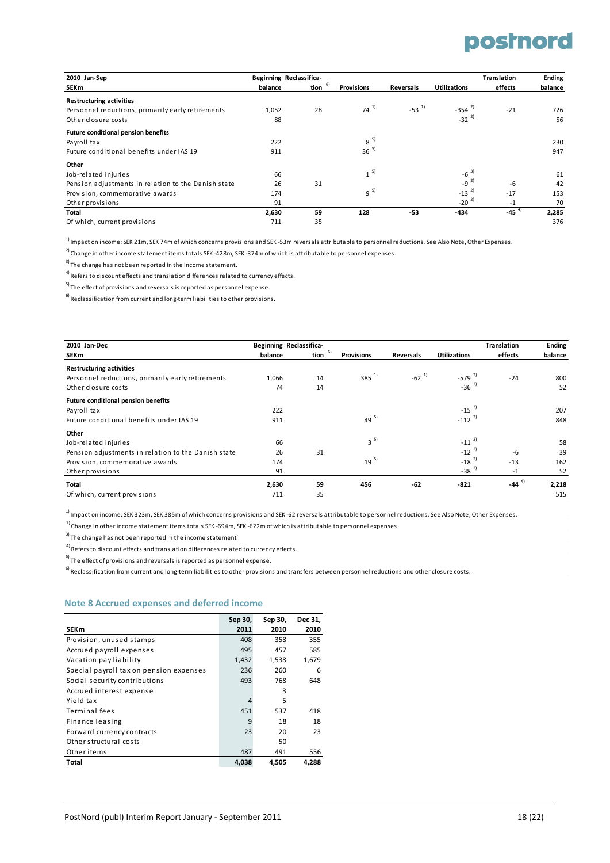| 2010 Jan-Sep                                        | Beginning Reclassifica- |            |                   |            |                     | <b>Translation</b> | <b>Ending</b> |
|-----------------------------------------------------|-------------------------|------------|-------------------|------------|---------------------|--------------------|---------------|
| <b>SEKm</b>                                         | balance                 | 6)<br>tion | <b>Provisions</b> | Reversals  | <b>Utilizations</b> | effects            | balance       |
| <b>Restructuring activities</b>                     |                         |            |                   |            |                     |                    |               |
| Personnel reductions, primarily early retirements   | 1,052                   | 28         | $74^{11}$         | $-53^{11}$ | $-354^{2}$          | $-21$              | 726           |
| Other closure costs                                 | 88                      |            |                   |            | $-32^{2}$           |                    | 56            |
| <b>Future conditional pension benefits</b>          |                         |            |                   |            |                     |                    |               |
| Payroll tax                                         | 222                     |            | $8^{5}$           |            |                     |                    | 230           |
| Future conditional benefits under IAS 19            | 911                     |            | $36^{5}$          |            |                     |                    | 947           |
| Other                                               |                         |            |                   |            |                     |                    |               |
| Job-related injuries                                | 66                      |            | $1^{5}$           |            | $-6^{3}$            |                    | 61            |
| Pension adjustments in relation to the Danish state | 26                      | 31         |                   |            | $-9^{2}$            | $-6$               | 42            |
| Provision, commemorative awards                     | 174                     |            | $9^{5}$           |            | $-13^{2}$           | $-17$              | 153           |
| Other provisions                                    | 91                      |            |                   |            | $-20^{2}$           | -1                 | 70            |
| Total                                               | 2,630                   | 59         | 128               | $-53$      | $-434$              | $-45^{4}$          | 2,285         |
| Of which, current provisions                        | 711                     | 35         |                   |            |                     |                    | 376           |

1) Impact on income: SEK 21m, SEK 74m of which concerns provisions and SEK -53m reversals attributable to personnel reductions. See Also Note, Other Expenses.

2)<br>Change in other income statement items totals SEK -428m, SEK -374m of which is attributable to personnel expenses.

<sup>3)</sup> The change has not been reported in the income statement.

4)<br>Refers to discount effects and translation differences related to currency effects.

 $^{5)}$  The effect of provisions and reversals is reported as personnel expense.

 $^{6)}$  Reclassification from current and long-term liabilities to other provisions.

| 2010 Jan-Dec                                        |         | Beginning Reclassifica- |                   |            |                     | <b>Translation</b> | <b>Ending</b> |
|-----------------------------------------------------|---------|-------------------------|-------------------|------------|---------------------|--------------------|---------------|
| SEKm                                                | balance | -6)<br>tion             | <b>Provisions</b> | Reversals  | <b>Utilizations</b> | effects            | balance       |
| <b>Restructuring activities</b>                     |         |                         |                   |            |                     |                    |               |
| Personnel reductions, primarily early retirements   | 1,066   | 14                      | $385^{1}$         | $-62^{11}$ | $-579^{2}$          | $-24$              | 800           |
| Other closure costs                                 | 74      | 14                      |                   |            | $-36^{2}$           |                    | 52            |
| Future conditional pension benefits                 |         |                         |                   |            |                     |                    |               |
| Payroll tax                                         | 222     |                         |                   |            | $-15^{3}$           |                    | 207           |
| Future conditional benefits under IAS 19            | 911     |                         | $49^{5}$          |            | $-112^{3}$          |                    | 848           |
| Other                                               |         |                         |                   |            |                     |                    |               |
| Job-related injuries                                | 66      |                         | $3^{5}$           |            | $-11^{2}$           |                    | 58            |
| Pension adjustments in relation to the Danish state | 26      | 31                      |                   |            | $-12^{2}$           | $-6$               | 39            |
| Provision, commemorative awards                     | 174     |                         | $19^{5}$          |            | $-18^{2}$           | $-13$              | 162           |
| Other provisions                                    | 91      |                         |                   |            | $-38^{2}$           | $-1$               | 52            |
| Total                                               | 2,630   | 59                      | 456               | $-62$      | $-821$              | $-44^{4}$          | 2,218         |
| Of which, current provisions                        | 711     | 35                      |                   |            |                     |                    | 515           |

1) Impact on income: SEK 323m, SEK 385m of which concerns provisions and SEK -62 reversals attributable to personnel reductions. See Also Note, Other Expenses.

 $2)$  Change in other income statement items totals SEK -694m, SEK -622m of which is attributable to personnel expenses

<sup>3)</sup> The change has not been reported in the income statement<sup>1</sup>

4) Refers to discount effects and translation differences related to currency effects.

 $^{5)}$  The effect of provisions and reversals is reported as personnel expense.

 $^{6}$ Reclassification from current and long-term liabilities to other provisions and transfers between personnel reductions and other closure costs.

#### **Note 8 Accrued expenses and deferred income**

|                                         | Sep 30, | Sep 30, | Dec 31, |
|-----------------------------------------|---------|---------|---------|
| <b>SEKm</b>                             | 2011    | 2010    | 2010    |
| Provision, unused stamps                | 408     | 358     | 355     |
| Accrued payroll expenses                | 495     | 457     | 585     |
| Vacation pay liability                  | 1,432   | 1,538   | 1,679   |
| Special payroll tax on pension expenses | 236     | 260     | 6       |
| Social security contributions           | 493     | 768     | 648     |
| Accrued interest expense                |         | 3       |         |
| Yield tax                               | 4       | 5       |         |
| Terminal fees                           | 451     | 537     | 418     |
| Finance leasing                         | 9       | 18      | 18      |
| Forward currency contracts              | 23      | 20      | 23      |
| Other structural costs                  |         | 50      |         |
| Other items                             | 487     | 491     | 556     |
| Total                                   | 4,038   | 4.505   | 4.288   |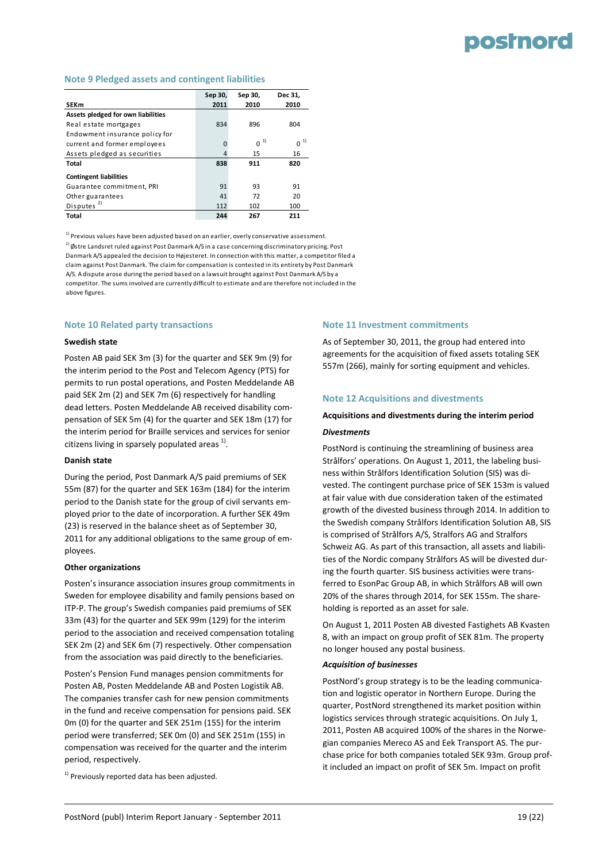## **posinord**

#### **Note 9 Pledged assets and contingent liabilities**

|                                    | Sep 30,  | Sep 30,  | Dec 31.        |
|------------------------------------|----------|----------|----------------|
| <b>SEKm</b>                        | 2011     | 2010     | 2010           |
| Assets pledged for own liabilities |          |          |                |
| Real estate mortgages              | 834      | 896      | 804            |
| Endowment insurance policy for     |          |          |                |
| current and former employees       | $\Omega$ | $0^{-1}$ | 0 <sup>1</sup> |
| Assets pledged as securities       | 4        | 15       | 16             |
| Total                              | 838      | 911      | 820            |
| <b>Contingent liabilities</b>      |          |          |                |
| Guarantee commitment, PRI          | 91       | 93       | 91             |
| Other guarantees                   | 41       | 72       | 20             |
| Disputes $^{2)}$                   | 112      | 102      | 100            |
| Total                              | 244      | 267      | 211            |

 $1)$  Previous values have been adjusted based on an earlier, overly conservative assessment.

 $^{2)}$ Østre Landsret ruled against Post Danmark A/S in a case concerning discriminatory pricing. Post Danmark A/S appealed the decision to Højesteret. In connection with this matter, a competitor filed a claim against Post Danmark. The claim for compensation is contested in its entirety by Post Danmark A/S. A dispute arose during the period based on a lawsuit brought against Post Danmark A/S by a competitor. The sums involved are currently difficult to estimate and are therefore not included in the above figures.

#### **Note 10 Related party transactions**

#### **Swedish state**

Posten AB paid SEK 3m (3) for the quarter and SEK 9m (9) for the interim period to the Post and Telecom Agency (PTS) for permits to run postal operations, and Posten Meddelande AB paid SEK 2m (2) and SEK 7m (6) respectively for handling dead letters. Posten Meddelande AB received disability com‐ pensation of SEK 5m (4) for the quarter and SEK 18m (17) for the interim period for Braille services and services for senior citizens living in sparsely populated areas  $1$ .

#### **Danish state**

During the period, Post Danmark A/S paid premiums of SEK 55m (87) for the quarter and SEK 163m (184) for the interim period to the Danish state for the group of civil servants em‐ ployed prior to the date of incorporation. A further SEK 49m (23) is reserved in the balance sheet as of September 30, 2011 for any additional obligations to the same group of em‐ ployees.

#### **Other organizations**

Posten's insurance association insures group commitments in Sweden for employee disability and family pensions based on ITP‐P. The group's Swedish companies paid premiums of SEK 33m (43) for the quarter and SEK 99m (129) for the interim period to the association and received compensation totaling SEK 2m (2) and SEK 6m (7) respectively. Other compensation from the association was paid directly to the beneficiaries.

Posten's Pension Fund manages pension commitments for Posten AB, Posten Meddelande AB and Posten Logistik AB. The companies transfer cash for new pension commitments in the fund and receive compensation for pensions paid. SEK 0m (0) for the quarter and SEK 251m (155) for the interim period were transferred; SEK 0m (0) and SEK 251m (155) in compensation was received for the quarter and the interim period, respectively.

 $1)$  Previously reported data has been adjusted.

#### **Note 11 Investment commitments**

As of September 30, 2011, the group had entered into agreements for the acquisition of fixed assets totaling SEK 557m (266), mainly for sorting equipment and vehicles.

#### **Note 12 Acquisitions and divestments**

#### **Acquisitions and divestments during the interim period**

#### *Divestments*

PostNord is continuing the streamlining of business area Strålfors' operations. On August 1, 2011, the labeling busi‐ ness within Strålfors Identification Solution (SIS) was di‐ vested. The contingent purchase price of SEK 153m is valued at fair value with due consideration taken of the estimated growth of the divested business through 2014. In addition to the Swedish company Strålfors Identification Solution AB, SIS is comprised of Strålfors A/S, Stralfors AG and Stralfors Schweiz AG. As part of this transaction, all assets and liabili‐ ties of the Nordic company Strålfors AS will be divested dur‐ ing the fourth quarter. SIS business activities were trans‐ ferred to EsonPac Group AB, in which Strålfors AB will own 20% of the shares through 2014, for SEK 155m. The share‐ holding is reported as an asset for sale.

On August 1, 2011 Posten AB divested Fastighets AB Kvasten 8, with an impact on group profit of SEK 81m. The property no longer housed any postal business.

#### *Acquisition of businesses*

PostNord's group strategy is to be the leading communica‐ tion and logistic operator in Northern Europe. During the quarter, PostNord strengthened its market position within logistics services through strategic acquisitions. On July 1, 2011, Posten AB acquired 100% of the shares in the Norwe‐ gian companies Mereco AS and Eek Transport AS. The pur‐ chase price for both companies totaled SEK 93m. Group prof‐ it included an impact on profit of SEK 5m. Impact on profit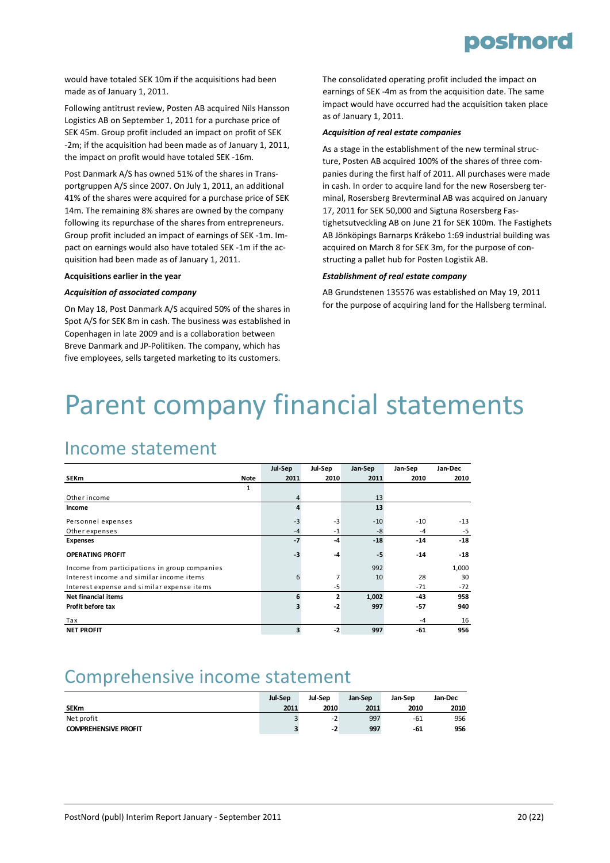

would have totaled SEK 10m if the acquisitions had been made as of January 1, 2011.

Following antitrust review, Posten AB acquired Nils Hansson Logistics AB on September 1, 2011 for a purchase price of SEK 45m. Group profit included an impact on profit of SEK ‐2m; if the acquisition had been made as of January 1, 2011, the impact on profit would have totaled SEK ‐16m.

Post Danmark A/S has owned 51% of the shares in Trans‐ portgruppen A/S since 2007. On July 1, 2011, an additional 41% of the shares were acquired for a purchase price of SEK 14m. The remaining 8% shares are owned by the company following its repurchase of the shares from entrepreneurs. Group profit included an impact of earnings of SEK ‐1m. Im‐ pact on earnings would also have totaled SEK ‐1m if the ac‐ quisition had been made as of January 1, 2011.

#### **Acquisitions earlier in the year**

#### *Acquisition of associated company*

On May 18, Post Danmark A/S acquired 50% of the shares in Spot A/S for SEK 8m in cash. The business was established in Copenhagen in late 2009 and is a collaboration between Breve Danmark and JP‐Politiken. The company, which has five employees, sells targeted marketing to its customers.

The consolidated operating profit included the impact on earnings of SEK ‐4m as from the acquisition date. The same impact would have occurred had the acquisition taken place as of January 1, 2011.

#### *Acquisition of real estate companies*

As a stage in the establishment of the new terminal struc‐ ture, Posten AB acquired 100% of the shares of three com‐ panies during the first half of 2011. All purchases were made in cash. In order to acquire land for the new Rosersberg ter‐ minal, Rosersberg Brevterminal AB was acquired on January 17, 2011 for SEK 50,000 and Sigtuna Rosersberg Fas‐ tighetsutveckling AB on June 21 for SEK 100m. The Fastighets AB Jönköpings Barnarps Kråkebo 1:69 industrial building was acquired on March 8 for SEK 3m, for the purpose of con‐ structing a pallet hub for Posten Logistik AB.

#### *Establishment of real estate company*

AB Grundstenen 135576 was established on May 19, 2011 for the purpose of acquiring land for the Hallsberg terminal.

# Parent company financial statements

### Income statement

|                                               |              | Jul-Sep | Jul-Sep        | Jan-Sep | Jan-Sep | Jan-Dec |
|-----------------------------------------------|--------------|---------|----------------|---------|---------|---------|
| <b>SEKm</b>                                   | Note         | 2011    | 2010           | 2011    | 2010    | 2010    |
|                                               | $\mathbf{1}$ |         |                |         |         |         |
| Other income                                  |              | 4       |                | 13      |         |         |
| Income                                        |              | 4       |                | 13      |         |         |
| Personnel expenses                            |              | $-3$    | $-3$           | $-10$   | $-10$   | $-13$   |
| Other expenses                                |              | $-4$    | $-1$           | -8      | $-4$    | $-5$    |
| <b>Expenses</b>                               |              | $-7$    | -4             | $-18$   | $-14$   | $-18$   |
| <b>OPERATING PROFIT</b>                       |              | $-3$    | $-4$           | -5      | $-14$   | $-18$   |
| Income from participations in group companies |              |         |                | 992     |         | 1,000   |
| Interest income and similar income items      |              | 6       | $\overline{7}$ | 10      | 28      | 30      |
| Interest expense and similar expense items    |              |         | -5             |         | $-71$   | $-72$   |
| <b>Net financial items</b>                    |              | 6       | $\mathbf{z}$   | 1,002   | $-43$   | 958     |
| Profit before tax                             |              |         | $-2$           | 997     | $-57$   | 940     |
| Tax                                           |              |         |                |         | $-4$    | 16      |
| <b>NET PROFIT</b>                             |              | 3       | $-2$           | 997     | $-61$   | 956     |

### Comprehensive income statement

|                             | <b>Jul-Sep</b> | Jul-Sep | Jan-Sep | Jan-Sep | Jan-Dec |
|-----------------------------|----------------|---------|---------|---------|---------|
| <b>SEKm</b>                 | 2011           | 2010    | 2011    | 2010    | 2010    |
| Net profit                  |                | $-2$    | 997     | -61     | 956     |
| <b>COMPREHENSIVE PROFIT</b> |                | -2      | 997     | -61     | 956     |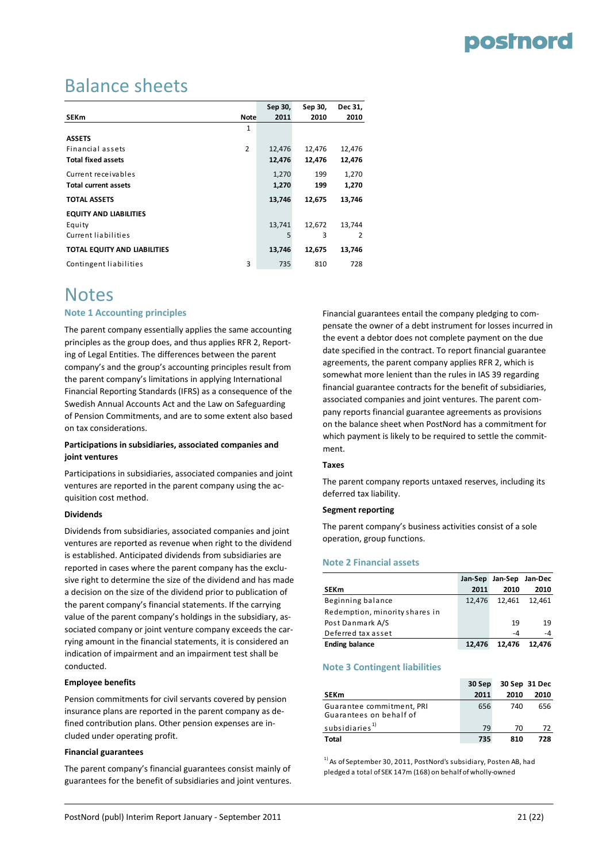### Balance sheets

|                               |                | Sep 30, | Sep 30, | Dec 31, |
|-------------------------------|----------------|---------|---------|---------|
| <b>SEKm</b>                   | Note           | 2011    | 2010    | 2010    |
|                               | 1              |         |         |         |
| <b>ASSETS</b>                 |                |         |         |         |
| Financial assets              | $\overline{2}$ | 12,476  | 12,476  | 12,476  |
| <b>Total fixed assets</b>     |                | 12,476  | 12,476  | 12,476  |
| Current receivables           |                | 1,270   | 199     | 1,270   |
| <b>Total current assets</b>   |                | 1,270   | 199     | 1,270   |
| <b>TOTAL ASSETS</b>           |                | 13,746  | 12,675  | 13,746  |
| <b>EQUITY AND LIABILITIES</b> |                |         |         |         |
| Equity                        |                | 13,741  | 12,672  | 13,744  |
| Current liabilities           |                | 5       | 3       | 2       |
| TOTAL EQUITY AND LIABILITIES  |                | 13,746  | 12,675  | 13,746  |
| Contingent liabilities        | 3              | 735     | 810     | 728     |

### Notes

#### **Note 1 Accounting principles**

The parent company essentially applies the same accounting principles as the group does, and thus applies RFR 2, Report‐ ing of Legal Entities. The differences between the parent company's and the group's accounting principles result from the parent company's limitations in applying International Financial Reporting Standards (IFRS) as a consequence of the Swedish Annual Accounts Act and the Law on Safeguarding of Pension Commitments, and are to some extent also based on tax considerations.

#### **Participations in subsidiaries, associated companies and joint ventures**

Participations in subsidiaries, associated companies and joint ventures are reported in the parent company using the ac‐ quisition cost method.

#### **Dividends**

Dividends from subsidiaries, associated companies and joint ventures are reported as revenue when right to the dividend is established. Anticipated dividends from subsidiaries are reported in cases where the parent company has the exclu‐ sive right to determine the size of the dividend and has made a decision on the size of the dividend prior to publication of the parent company's financial statements. If the carrying value of the parent company's holdings in the subsidiary, associated company or joint venture company exceeds the carrying amount in the financial statements, it is considered an indication of impairment and an impairment test shall be conducted.

#### **Employee benefits**

Pension commitments for civil servants covered by pension insurance plans are reported in the parent company as de‐ fined contribution plans. Other pension expenses are in‐ cluded under operating profit.

#### **Financial guarantees**

The parent company's financial guarantees consist mainly of guarantees for the benefit of subsidiaries and joint ventures.

Financial guarantees entail the company pledging to com‐ pensate the owner of a debt instrument for losses incurred in the event a debtor does not complete payment on the due date specified in the contract. To report financial guarantee agreements, the parent company applies RFR 2, which is somewhat more lenient than the rules in IAS 39 regarding financial guarantee contracts for the benefit of subsidiaries, associated companies and joint ventures. The parent com‐ pany reports financial guarantee agreements as provisions on the balance sheet when PostNord has a commitment for which payment is likely to be required to settle the commitment.

#### **Taxes**

The parent company reports untaxed reserves, including its deferred tax liability.

#### **Segment reporting**

The parent company's business activities consist of a sole operation, group functions.

#### **Note 2 Financial assets**

|                                | Jan-Sep | Jan-Sep Jan-Dec |        |
|--------------------------------|---------|-----------------|--------|
| <b>SEKm</b>                    | 2011    | 2010            | 2010   |
| Beginning balance              | 12.476  | 12.461          | 12.461 |
| Redemption, minority shares in |         |                 |        |
| Post Danmark A/S               |         | 19              | 19     |
| Deferred tax asset             |         | -4              | -4     |
| <b>Ending balance</b>          | 12.476  | 12.476          | 12.476 |

#### **Note 3 Contingent liabilities**

|                                                      | 30 Sep | 30 Sep 31 Dec |      |  |
|------------------------------------------------------|--------|---------------|------|--|
| <b>SEKm</b>                                          | 2011   | 2010          | 2010 |  |
| Guarantee commitment, PRI<br>Guarantees on behalf of | 656    | 740           | 656  |  |
| subsidiaries <sup>1)</sup>                           | 79     | 70            | 72   |  |
| Total                                                | 735    | 810           | 728  |  |

<sup>1)</sup> As of September 30, 2011, PostNord's subsidiary, Posten AB, had pledged a total of SEK 147m (168) on behalf of wholly‐owned